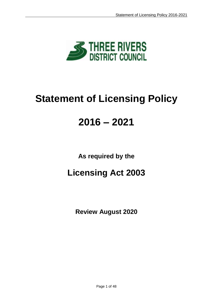

# **Statement of Licensing Policy**

## **2016 – 2021**

**As required by the**

## **Licensing Act 2003**

**Review August 2020**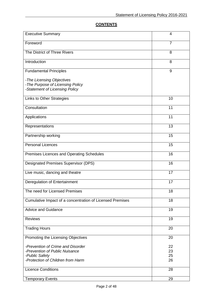## **CONTENTS**

| <b>Executive Summary</b>                                                                                                   | 4                    |
|----------------------------------------------------------------------------------------------------------------------------|----------------------|
| Foreword                                                                                                                   | $\overline{7}$       |
| The District of Three Rivers                                                                                               | 8                    |
| Introduction                                                                                                               | 8                    |
| <b>Fundamental Principles</b>                                                                                              | 9                    |
| -The Licensing Objectives<br>-The Purpose of Licensing Policy<br>-Statement of Licensing Policy                            |                      |
| Links to Other Strategies                                                                                                  | 10                   |
| Consultation                                                                                                               | 11                   |
| Applications                                                                                                               | 11                   |
| Representations                                                                                                            | 13                   |
| Partnership working                                                                                                        | 15                   |
| <b>Personal Licences</b>                                                                                                   | 15                   |
| Premises Licences and Operating Schedules                                                                                  | 16                   |
| <b>Designated Premises Supervisor (DPS)</b>                                                                                | 16                   |
| Live music, dancing and theatre                                                                                            | 17                   |
| Deregulation of Entertainment                                                                                              | 17                   |
| The need for Licensed Premises                                                                                             | 18                   |
| Cumulative Impact of a concentration of Licensed Premises                                                                  | 18                   |
| <b>Advice and Guidance</b>                                                                                                 | 19                   |
| <b>Reviews</b>                                                                                                             | 19                   |
| <b>Trading Hours</b>                                                                                                       | 20                   |
| Promoting the Licensing Objectives                                                                                         | 20                   |
| -Prevention of Crime and Disorder<br>-Prevention of Public Nuisance<br>-Public Safety<br>-Protection of Children from Harm | 22<br>23<br>25<br>26 |
| <b>Licence Conditions</b>                                                                                                  | 28                   |
| <b>Temporary Events</b>                                                                                                    | 29                   |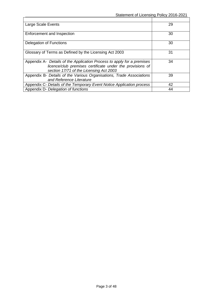| Large Scale Events                                                                                                                                                             | 29 |
|--------------------------------------------------------------------------------------------------------------------------------------------------------------------------------|----|
| Enforcement and Inspection                                                                                                                                                     | 30 |
| Delegation of Functions                                                                                                                                                        | 30 |
| Glossary of Terms as Defined by the Licensing Act 2003                                                                                                                         | 31 |
| Appendix A- Details of the Application Process to apply for a premises<br>licence/club premises certificate under the provisions of<br>section 17/71 of the Licensing Act 2003 | 34 |
| Appendix B- Details of the Various Organisations, Trade Associations<br>and Reference Literature                                                                               | 39 |
| Appendix C- Details of the Temporary Event Notice Application process                                                                                                          | 42 |
| Appendix D- Delegation of functions                                                                                                                                            | 44 |

 $\mathbf{r}$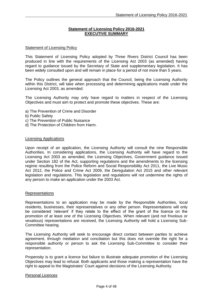#### **Statement of Licensing Policy 2016-2021 EXECUTIVE SUMMARY**

#### Statement of Licensing Policy

This Statement of Licensing Policy adopted by Three Rivers District Council has been produced in line with the requirements of the Licensing Act 2003 (as amended) having regard to guidance issued by the Secretary of State and supplementary legislation. It has been widely consulted upon and will remain in place for a period of not more than 5 years.

The Policy outlines the general approach that the Council, being the Licensing Authority within this District, will take when processing and determining applications made under the Licensing Act 2003, as amended.

The Licensing Authority may only have regard to matters in respect of the Licensing Objectives and must aim to protect and promote these objectives. These are:

- a) The Prevention of Crime and Disorder
- b) Public Safety
- c) The Prevention of Public Nuisance
- d) The Protection of Children from Harm.

#### Licensing Applications

Upon receipt of an application, the Licensing Authority will consult the nine Responsible Authorities. In considering applications, the Licensing Authority will have regard to the Licensing Act 2003 as amended, the Licensing Objectives, Government guidance issued under Section 182 of the Act, supporting regulations and the amendments to the licensing regime resulting from the Police Reform and Social Responsibility Act 2011, the Live Music Act 2012, the Police and Crime Act 2009, the Deregulation Act 2015 and other relevant legislation and regulations. This legislation and regulations will not undermine the rights of any person to make an application under the 2003 Act.

#### Representations

Representations to an application may be made by the Responsible Authorities, local residents, businesses, their representatives or any other person. Representations will only be considered 'relevant' if they relate to the effect of the grant of the licence on the promotion of at least one of the Licensing Objectives. When relevant (and not frivolous or vexatious) representations are received, the Licensing Authority will hold a Licensing Sub-Committee hearing.

The Licensing Authority will seek to encourage direct contact between parties to achieve agreement, through mediation and conciliation but this does not override the right for a responsible authority or person to ask the Licensing Sub-Committee to consider their representation.

Propensity is to grant a licence but failure to illustrate adequate promotion of the Licensing Objectives may lead to refusal. Both applicants and those making a representation have the right to appeal to the Magistrates' Court against decisions of the Licensing Authority.

#### Personal Licences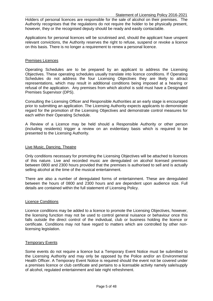Holders of personal licences are responsible for the sale of alcohol on their premises. The Authority recognises that the regulations do not require the holder to be physically present, however, they or the recognised deputy should be ready and easily contactable.

Applications for personal licences will be scrutinised and, should the applicant have unspent relevant convictions, the Authority reserves the right to refuse, suspend or revoke a licence on this basis. There is no longer a requirement to renew a personal licence.

#### Premises Licences

Operating Schedules are to be prepared by an applicant to address the Licensing Objectives. These operating schedules usually translate into licence conditions. If Operating Schedules do not address the four Licensing Objectives they are likely to attract representations, which may result in additional conditions being imposed at a hearing or refusal of the application. Any premises from which alcohol is sold must have a Designated Premises Supervisor (DPS).

Consulting the Licensing Officer and Responsible Authorities at an early stage is encouraged prior to submitting an application. The Licensing Authority expects applicants to demonstrate regard for the promotion of the Licensing Objectives and demonstrate control measures for each within their Operating Schedule.

A Review of a Licence may be held should a Responsible Authority or other person (including residents) trigger a review on an evidentiary basis which is required to be presented to the Licensing Authority.

#### Live Music, Dancing, Theatre

Only conditions necessary for promoting the Licensing Objectives will be attached to licences of this nature. Live and recorded music are deregulated on alcohol licensed premises between 0800 and 2300 hours provided that the premises is authorised to sell and is actually selling alcohol at the time of the musical entertainment.

There are also a number of deregulated forms of entertainment. These are deregulated between the hours of 0800 and 2300 hours and are dependent upon audience size. Full details are contained within the full statement of Licensing Policy.

#### Licence Conditions

Licence conditions may be added to a licence to promote the Licensing Objectives, however, the licensing function may not be used to control general nuisance or behaviour once this falls outside the direct control of the individual, club or business holding the licence or certificate. Conditions may not have regard to matters which are controlled by other nonlicensing legislation.

#### Temporary Events

Some events do not require a licence but a Temporary Event Notice must be submitted to the Licensing Authority and may only be opposed by the Police and/or an Environmental Health Officer. A Temporary Event Notice is required should the event not be covered under a premises licence or club certificate and pertains to a licensable activity namely sale/supply of alcohol, regulated entertainment and late night refreshment.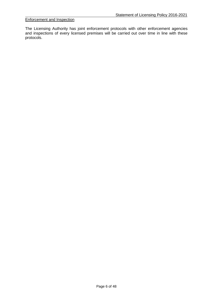#### Enforcement and Inspection

The Licensing Authority has joint enforcement protocols with other enforcement agencies and inspections of every licensed premises will be carried out over time in line with these protocols.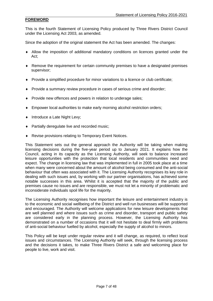## **FOREWORD**

This is the fourth Statement of Licensing Policy produced by Three Rivers District Council under the Licensing Act 2003, as amended.

Since the adoption of the original statement the Act has been amended. The changes:

- Allow the imposition of additional mandatory conditions on licences granted under the Act;
- Remove the requirement for certain community premises to have a designated premises supervisor;
- Provide a simplified procedure for minor variations to a licence or club certificate;
- Provide a summary review procedure in cases of serious crime and disorder;
- Provide new offences and powers in relation to underage sales;
- Empower local authorities to make early morning alcohol restriction orders;
- Introduce a Late Night Levy;
- ◆ Partially deregulate live and recorded music;
- ◆ Revise provisions relating to Temporary Event Notices.

This Statement sets out the general approach the Authority will be taking when making licensing decisions during the five-year period up to January 2021. It explains how the Council, acting in its capacity as the Licensing Authority, will seek to balance increased leisure opportunities with the protection that local residents and communities need and expect. The change in licensing law that was implemented in full in 2005 took place at a time when many were concerned about the amount of alcohol being consumed and the anti-social behaviour that often was associated with it. The Licensing Authority recognises its key role in dealing with such issues and, by working with our partner organisations, has achieved some notable successes in this area. Whilst it is accepted that the majority of the public and premises cause no issues and are responsible, we must not let a minority of problematic and inconsiderate individuals spoil life for the majority.

The Licensing Authority recognises how important the leisure and entertainment industry is to the economic and social wellbeing of the District and well run businesses will be supported and encouraged. The Authority will welcome applications for new leisure developments that are well planned and where issues such as crime and disorder, transport and public safety are considered early in the planning process. However, the Licensing Authority has demonstrated on a number of occasions that it will not hesitate to deal firmly with problems of anti-social behaviour fuelled by alcohol, especially the supply of alcohol to minors.

This Policy will be kept under regular review and it will change, as required, to reflect local issues and circumstances. The Licensing Authority will seek, through the licensing process and the decisions it takes, to make Three Rivers District a safe and welcoming place for people to live, work and visit.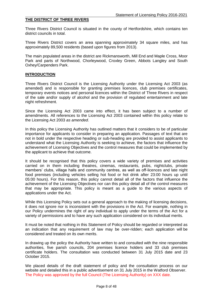## **THE DISTRICT OF THREE RIVERS**

Three Rivers District Council is situated in the county of Hertfordshire, which contains ten district councils in total.

Three Rivers District covers an area spanning approximately 34 square miles, and has approximately 89,500 residents (based upon figures from 2013).

The main populated areas in the district are Rickmansworth, Mill End and Maple Cross, Moor Park and parts of Northwood, Chorleywood, Croxley Green, Abbots Langley and South Oxhey/Carpenders Park.

#### **INTRODUCTION**

Three Rivers District Council is the Licensing Authority under the Licensing Act 2003 (as amended) and is responsible for granting premises licences, club premises certificates, temporary events notices and personal licences within the District of Three Rivers in respect of the sale and/or supply of alcohol and the provision of regulated entertainment and late night refreshment.

Since the Licensing Act 2003 came into effect, it has been subject to a number of amendments. All references to the Licensing Act 2003 contained within this policy relate to the Licensing Act 2003 *as amended*.

In this policy the Licensing Authority has outlined matters that it considers to be of particular importance for applicants to consider in preparing an application. Passages of text that are not in bold under the respective heading or sub-heading are provided to assist applicants to understand what the Licensing Authority is seeking to achieve, the factors that influence the achievement of Licensing Objectives and the control measures that could be implemented by the applicant to achieve that outcome.

It should be recognised that this policy covers a wide variety of premises and activities carried on in them including theatres, cinemas, restaurants, pubs, nightclubs, private members' clubs, village halls and community centres, as well as off-licences and late night food premises (including vehicles selling hot food or hot drink after 23:00 hours up until 05:00 hours). For this reason, this policy cannot detail all of the factors that influence the achievement of the Licensing Objectives nor can this policy detail all of the control measures that may be appropriate. This policy is meant as a guide to the various aspects of applications under the Act.

While this Licensing Policy sets out a general approach to the making of licensing decisions, it does not ignore nor is inconsistent with the provisions in the Act. For example, nothing in our Policy undermines the right of any individual to apply under the terms of the Act for a variety of permissions and to have any such application considered on its individual merits.

It must be noted that nothing in this Statement of Policy should be regarded or interpreted as an indication that any requirement of law may be over-ridden; each application will be considered and treated on its own merits.

In drawing up the policy the Authority have written to and consulted with the nine responsible authorities, five parish councils, 204 premises licence holders and 33 club premises certificate holders. The consultation was conducted between 31 July 2015 date and 23 October 2015.

We placed details of the draft statement of policy and the consultation process on our website and detailed this in a public advertisement on 31 July 2015 in the Watford Observer. The Policy was approved by the full Council (The Licensing Authority) on XXX date.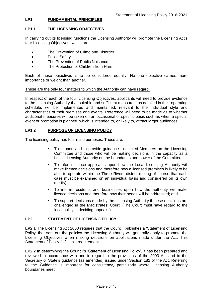#### Statement of Licensing Policy 2016-2021<br>
FUNDAMENTAL PRINCIPLES **FUNDAMENTAL PRINCIPLES**

## **LP1.1 THE LICENSING OBJECTIVES**

In carrying out its licensing functions the Licensing Authority will promote the Licensing Act's four Licensing Objectives, which are:

- The Prevention of Crime and Disorder
- Public Safety
- The Prevention of Public Nuisance
- The Protection of Children from Harm.

Each of these objectives is to be considered equally. No one objective carries more importance or weight than another.

#### These are the only four matters to which the Authority can have regard.

In respect of each of the four Licensing Objectives, applicants will need to provide evidence to the Licensing Authority that suitable and sufficient measures, as detailed in their operating schedule, will be implemented and maintained, relevant to the individual style and characteristics of their premises and events. Reference will need to be made as to whether additional measures will be taken on an occasional or specific basis such as when a special event or promotion is planned, which is intended to, or likely to, attract larger audiences.

#### **LP1.2 PURPOSE OF LICENSING POLICY**

The licensing policy has four main purposes. These are:-

- To support and to provide guidance to elected Members on the Licensing Committee and those who will be making decisions in the capacity as a Local Licensing Authority on the boundaries and power of the Committee;
- To inform licence applicants upon how the Local Licensing Authority will make licence decisions and therefore how a licensed premises is likely to be able to operate within the Three Rivers district (noting of course that each case must be examined on an individual basis and considered on its own merits);
- To inform residents and businesses upon how the authority will make licence decisions and therefore how their needs will be addressed; and
- To support decisions made by the Licensing Authority if these decisions are challenged in the Magistrates' Court. (The Court must have regard to the local policy in deciding appeals.)

#### **LP2 STATEMENT OF LICENSING POLICY**

**LP2.1** The Licensing Act 2003 requires that the Council publishes a 'Statement of Licensing Policy' that sets out the policies the Licensing Authority will generally apply to promote the Licensing Objectives when making decisions on applications made under the Act. This Statement of Policy fulfils this requirement.

LP2.2 In determining the Council's 'Statement of Licensing Policy', it has been prepared and reviewed in accordance with and in regard to the provisions of the 2003 Act and to the Secretary of State's guidance (as amended) issued under Section 182 of the Act. Referring to the Guidance is important for consistency, particularly where Licensing Authority boundaries meet.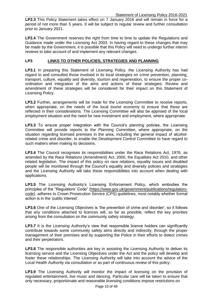**LP2.3** This Policy Statement takes effect on 7 January 2016 and will remain in force for a period of not more than 5 years. It will be subject to regular review and further consultation prior to January 2021.

LP2.4 The Government reserves the right from time to time to update the Regulations and Guidance made under the Licensing Act 2003. In having regard to these changes that may be made by the Government, it is possible that this Policy will need to undergo further interim reviews to take account of and implement any relevant changes.

## **LP3 LINKS TO OTHER POLICIES, STRATEGIES AND PLANNING**

LP3.1 In preparing this Statement of Licensing Policy, the Licensing Authority has had regard to and consulted those involved in its local strategies on crime prevention, planning, transport, culture, equality and diversity, tourism and regeneration, to ensure the proper coordination and integration of the aims and actions of these strategies. Review and amendment of these strategies will be considered for their impact on this Statement of Licensing Policy.

**LP3.2** Further, arrangements will be made for the Licensing Committee to receive reports, when appropriate, on the needs of the local tourist economy to ensure that these are reflected in their considerations. The Licensing Committee will also be apprised of the local employment situation and the need for new investment and employment, where appropriate.

**LP3.3** To ensure proper integration with the Council's planning policies, the Licensing Committee will provide reports to the Planning Committee, where appropriate, on the situation regarding licensed premises in the area, including the general impact of alcoholrelated crime and disorder, to enable the Development Control Committee to have regard to such matters when making its decisions.

**LP3.4** The Council recognises its responsibilities under the Race Relations Act, 1976, as amended by the Race Relations (Amendment) Act, 2000, the Equalities Act 2010, and other related legislation. The impact of this policy on race relations, equality issues and disabled people will be monitored through the Council's equality and diversity policies and strategies and the Licensing Authority will take these responsibilities into account when dealing with applications.

**LP3.5** The Licensing Authority's Licensing Enforcement Policy, which embodies the principles of the "Regulators' Code" [\(https://www.gov.uk/government/publications/regulators](https://www.gov.uk/government/publications/regulators-code)[code\)](https://www.gov.uk/government/publications/regulators-code), adheres to Crown Prosecution Service (CPS) guidelines, most notably whether formal action is in the 'public interest'.

LP3.6 One of the Licensing Objectives is 'the prevention of crime and disorder', so it follows that any conditions attached to licences will, so far as possible, reflect the key priorities arising from the consultation on the community safety strategy.

LP3.7 It is the Licensing Authority's view that responsible licence holders can significantly contribute towards some community safety aims directly and indirectly, through the proper management of their premises and by supporting the Police in their efforts to detect crimes and their perpetrators.

**LP3.8** The responsible authorities are key in assisting the Licensing Authority to deliver its licensing service and the Licensing Objectives under the Act and the policy will develop and foster these relationships. The Licensing Authority will take into account the advice of the Local Health Authority via consultation or as part of continuous review of this policy.

**LP3.9** The Licensing Authority will monitor the impact of licensing on the provision of regulated entertainment, live music and dancing. Particular care will be taken to ensure that only necessary, proportionate and reasonable licensing conditions impose restrictions on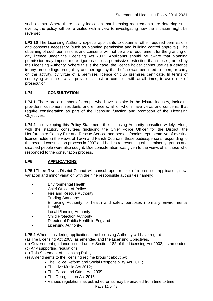such events. Where there is any indication that licensing requirements are deterring such events, the policy will be re-visited with a view to investigating how the situation might be reversed.

**LP3.10** The Licensing Authority expects applicants to obtain all other required permissions and consents necessary (such as planning permission and building control approval). The obtaining of such permissions and consents will not be a pre-requirement for the granting of any licence under the Licensing Act 2003. Applicants should be aware that planning permission may impose more rigorous or less permissive restriction than those granted by the Licensing Authority. Where this is the case, the licence holder cannot use as a defence in any proceedings brought by another agency that he/she was permitted to open, or carry on the activity, by virtue of a premises licence or club premises certificate. In terms of complying with the law, all provisions must be complied with at all times, to avoid risk of prosecution.

## **LP4 CONSULTATION**

LP4.1 There are a number of groups who have a stake in the leisure industry, including providers, customers, residents and enforcers, all of whom have views and concerns that require consideration as part of the licensing function and promotion of the Licensing Objectives.

**LP4.2** In developing this Policy Statement, the Licensing Authority consulted widely. Along with the statutory consultees (including the Chief Police Officer for the District, the Hertfordshire County Fire and Rescue Service and persons/bodies representative of existing licence holders) the views of Town and Parish Councils, those bodies/persons responding to the second consultation process in 2007 and bodies representing ethnic minority groups and disabled people were also sought. Due consideration was given to the views of all those who responded to the consultation process.

## **LP5 APPLICATIONS**

**LP5.1**Three Rivers District Council will consult upon receipt of a premises application, new, variation and minor variation with the nine responsible authorities namely:

- Environmental Health
- Chief Officer of Police
- Fire and Rescue Authority
- Trading Standards
- Enforcing Authority for health and safety purposes (normally Environmental Health)
- Local Planning Authority
- **Child Protection Authority**
- Director of Public Health in England
- Licensing Authority.

**LP5.2** When considering applications, the Licensing Authority will have regard to:-

- (a) The Licensing Act 2003, as amended and the Licensing Objectives.
- (b) Government guidance issued under Section 182 of the Licensing Act 2003, as amended.
- (c) Any supporting regulations.
- (d) This Statement of Licensing Policy.
- (e) Amendments to the licensing regime brought about by:
	- The Police Reform and Social Responsibility Act 2011;
		- The Live Music Act 2012;
		- The Police and Crime Act 2009;
		- The Deregulation Act 2015;
		- Various regulations as published or as may be enacted from time to time.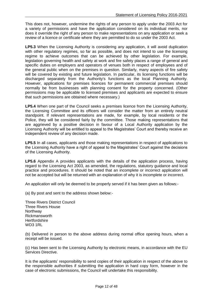This does not, however, undermine the rights of any person to apply under the 2003 Act for a variety of permissions and have the application considered on its individual merits, nor does it override the right of any person to make representations on any application or seek a review of a licence or certificate where they are permitted to do so under the 2003 Act.

**LP5.3** When the Licensing Authority is considering any application, it will avoid duplication with other regulatory regimes, so far as possible, and does not intend to use the licensing regime to achieve outcomes that can be achieved by other legislation. For example, legislation governing health and safety at work and fire safety places a range of general and specific duties on employers and operators of venues both in respect of employees and of the general public when on the premises in question. Similarly, many aspects of fire safety will be covered by existing and future legislation. In particular, its licensing functions will be discharged separately from the Authority's functions as the local Planning Authority. However, applications for premises licences for permanent commercial premises should normally be from businesses with planning consent for the property concerned. (Other permissions may be applicable to licensed premises and applicants are expected to ensure that such permissions are obtained where necessary.)

**LP5.4** When one part of the Council seeks a premises licence from the Licensing Authority, the Licensing Committee and its officers will consider the matter from an entirely neutral standpoint. If relevant representations are made, for example, by local residents or the Police, they will be considered fairly by the committee. Those making representations that are aggrieved by a positive decision in favour of a Local Authority application by the Licensing Authority will be entitled to appeal to the Magistrates' Court and thereby receive an independent review of any decision made.

**LP5.5** In all cases, applicants and those making representations in respect of applications to the Licensing Authority have a right of appeal to the Magistrates' Court against the decisions of the Licensing Authority.

**LP5.6** Appendix A provides applicants with the details of the application process, having regard to the Licensing Act 2003, as amended, the regulations, statutory guidance and local practice and procedures. It should be noted that an incomplete or incorrect application will not be accepted but will be returned with an explanation of why it is incomplete or incorrect.

An application will only be deemed to be properly served if it has been given as follows:-

(a) By post and sent to the address shown below:-

Three Rivers District Council Three Rivers House **Northway** Rickmansworth **Hertfordshire** WD3 1RL

(b) Delivered in person to the above address during normal office opening hours, when a receipt will be issued.

(c) Has been sent to the Licensing Authority by electronic means, in accordance with the EU Services Directive.

It is the applicants' responsibility to send copies of their application in respect of the above to the responsible authorities if submitting the application in hard copy form, however in the case of electronic submissions, the Council will undertake this responsibility.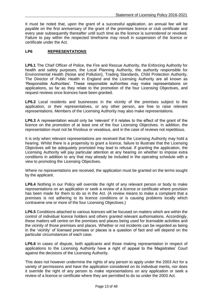It must be noted that, upon the grant of a successful application, an annual fee will be payable on the first anniversary of the grant of the premises licence or club certificate and every year subsequently thereafter until such time as the licence is surrendered or revoked. Failure to pay within the respected timeframe may result in suspension of the licence or certificate under the Act.

### **LP6 REPRESENTATIONS**

**LP6.1** The Chief Officer of Police, the Fire and Rescue Authority, the Enforcing Authority for health and safety purposes, the Local Planning Authority, the authority responsible for Environmental Health (Noise and Pollution), Trading Standards, Child Protection Authority, The Director of Public Health in England and the Licensing Authority are all known as 'Responsible Authorities'. These responsible authorities may make representations on applications, so far as they relate to the promotion of the four Licensing Objectives, and request reviews once licences have been granted.

**LP6.2** Local residents and businesses in the vicinity of the premises subject to the application, or their representatives, or any other person, are free to raise relevant representations. Members of the Licensing Authority may also make representations.

**LP6.3** A representation would only be 'relevant' if it relates to the effect of the grant of the licence on the promotion of at least one of the four Licensing Objectives. In addition, the representation must not be frivolous or vexatious, and in the case of reviews not repetitious.

It is only when relevant representations are received that the Licensing Authority may hold a hearing. Whilst there is a propensity to grant a licence, failure to illustrate that the Licensing Objectives will be adequately promoted may lead to refusal. If granting the application, the Licensing Authority will pay particular attention at any hearing on whether to impose extra conditions in addition to any that may already be included in the operating schedule with a view to promoting the Licensing Objectives.

Where no representations are received, the application must be granted on the terms sought by the applicant.

**LP6.4** Nothing in our Policy will override the right of any relevant person or body to make representations on an application or seek a review of a licence or certificate where provision has been made for them to do so in the Act. (A review means to make a complaint that a premises is not adhering to its licence conditions or is causing problems locally which contravene one or more of the four Licensing Objectives.)

**LP6.5** Conditions attached to various licences will be focused on matters which are within the control of individual licence holders and others granted relevant authorisations. Accordingly, these matters will centre on the premises and places being used for licensable activities and the vicinity of those premises and places. Whether or not incidents can be regarded as being in the 'vicinity' of licensed premises or places is a question of fact and will depend on the particular circumstances of each case.

**LP6.6** In cases of dispute, both applicants and those making representation in respect of applications to the Licensing Authority have a right of appeal to the Magistrates' Court against the decisions of the Licensing Authority.

This does not however undermine the rights of any person to apply under the 2003 Act for a variety of permissions and have the application considered on its individual merits, nor does it override the right of any person to make representations on any application or seek a review of a licence or certificate where they are permitted to do so under the 2003 Act.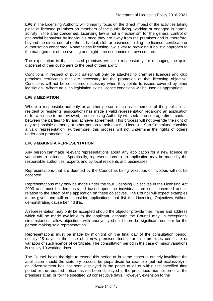LP6.7 The Licensing Authority will primarily focus on the direct impact of the activities taking place at licensed premises on members of the public living, working or engaged in normal activity in the area concerned. Licensing law is not a mechanism for the general control of anti-social behaviour by individuals once they are away from the premises and is, therefore, beyond the direct control of the individual, club or business holding the licence, certificate or authorisation concerned. Nonetheless licensing law is key to providing a holistic approach to the management of the evening and night-time economies of town centres.

The expectation is that licensed premises will take responsibility for managing the quiet dispersal of their customers to the best of their ability.

Conditions in respect of public safety will only be attached to premises licences and club premises certificates that are necessary for the promotion of that licensing objective. Conditions will not be considered necessary when they relate to issues covered by other legislation. Where no such legislation exists licence conditions will be used as appropriate.

#### **LP6.8 MEDIATION**

Where a responsible authority or another person (such as a member of the public, local resident or residents' association) has made a valid representation regarding an application or for a licence to be reviewed, the Licensing Authority will seek to encourage direct contact between the parties to try and achieve agreement. This process will not override the right of any responsible authority or other person to ask that the Licensing Sub-Committee consider a valid representation. Furthermore, this process will not undermine the rights of others under data protection law.

#### **LP6.9 MAKING A REPRESENTATION**

Any person can make relevant representations about any application for a new licence or variations to a licence. Specifically, representations to an application may be made by the responsible authorities, experts and by local residents and businesses.

Representations that are deemed by the Council as being vexatious or frivolous will not be accepted.

Representations may only be made under the four Licensing Objectives in the Licensing Act 2003 and must be demonstrated based upon the individual premises concerned and in relation to the effect of the application on these objectives. The Council will expect examples to be given and will not consider applications that list the Licensing Objectives without demonstrating cause behind this,

A representation may only be accepted should the objector provide their name and address which will be made available to the applicant, although the Council may, in exceptional circumstances, allow objections with anonymity should there be significant concern for the person making said representation.

Representations must be made by midnight on the final day of the consultation period, usually 28 days in the case of a new premises licence or club premises certificate or variation of such licence of certificate. The consultation period in the case of minor variations is usually 10 working days.

The Council holds the right to extend this period or in some cases to entirely invalidate the application should the statutory process be jeopardised for example (but not exclusively) if an advertisement has not been displayed in the paper at all or within the specified time period or the required notice has not been displayed in the prescribed manner on or at the premises at all, or for the specified 28 consecutive days. However, extension to the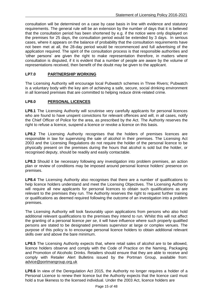consultation will be determined on a case by case basis in line with evidence and statutory requirements. The general rule will be an extension by the number of days that it is believed that the consultation period has been shortened by e.g. if the notice were only displayed on the premises for 25 days, the consultation period would be extended by 3 days. In serious cases, where it appears on the balance of probability that the consultation requirements have not been met at all, the 28-day period would be recommenced and full advertising of the application required. The spirit of the consultation process is that responsible authorities and 'other persons' are given the right to make representation therefore, in matters where consultation is disputed, if it is evident that a number of people are aware by the volume of representations received, then benefit of the doubt may be given to the applicant.

## **LP7.0 PARTNERSHIP WORKING**

The Licensing Authority will encourage local Pubwatch schemes in Three Rivers; Pubwatch is a voluntary body with the key aim of achieving a safe, secure, social drinking environment in all licensed premises that are committed to helping reduce drink-related crime.

## **LP8.0 PERSONAL LICENCES**

LP8.1 The Licensing Authority will scrutinise very carefully applicants for personal licences who are found to have unspent convictions for relevant offences and will, in all cases, notify the Chief Officer of Police for the area, as prescribed by the Act. The Authority reserves the right to refuse a licence, suspend a licence or revoke a licence on this basis.

**LP8.2** The Licensing Authority recognises that the holders of premises licences are responsible in law for supervising the sale of alcohol in their premises. The Licensing Act 2003 and the Licensing Regulations do not require the holder of the personal licence to be physically present on the premises during the hours that alcohol is sold but the holder, or recognised deputy, should be readily and easily contactable.

**LP8.3** Should it be necessary following any investigation into problem premises, an action plan or review of conditions may be imposed around personal licence holders' presence on premises.

LP8.4 The Licensing Authority also recognises that there are a number of qualifications to help licence holders understand and meet the Licensing Objectives. The Licensing Authority will require all new applicants for personal licences to obtain such qualifications as are relevant to the premises they run. The Authority reserves the right to request further training or qualifications as deemed required following the outcome of an investigation into a problem premises.

The Licensing Authority will look favourably upon applications from persons who also hold additional relevant qualifications to the premises they intend to run. Whilst this will not affect the granting of a personal licence *per se*, it will have influence where such properly qualified persons are stated to be designated premises supervisor at large or complex venues. The purpose of this policy is to encourage personal licence holders to obtain additional relevant skills over and above the bare minimum.

**LP8.5** The Licensing Authority expects that, where retail sales of alcohol are to be allowed, licence holders observe and comply with the Code of Practice on the Naming, Packaging and Promotion of Alcoholic Drinks. Retailers should ensure that they are able to receive and comply with Retailer Alert Bulletins issued by the Portman Group, available from: [advice@portmangroup.org.uk](mailto:advice@portmangroup.org.uk)

**LP8.6** In view of the Deregulation Act 2015, the Authority no longer requires a holder of a Personal Licence to renew their licence but the Authority expects that the licence card must hold a true likeness to the licensed individual. Under the 2003 Act, licence holders are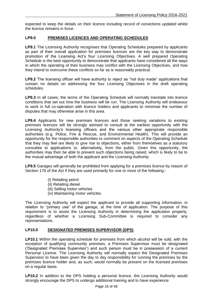expected to keep the details on their licence including record of convictions updated whilst the licence remains in force.

### **LP9.0 PREMISES LICENCES AND OPERATING SCHEDULES**

**LP9.1** The Licensing Authority recognises that Operating Schedules prepared by applicants as part of their overall application for premises licences are the key way to demonstrate promotion of the Licensing Act's four Licensing Objectives. A well prepared Operating Schedule is the best opportunity to demonstrate that applicants have considered all the ways in which the operating of their business may conflict with the Licensing Objectives, and how they intend to overcome these conflicts so far as is reasonably practical.

**LP9.2** The licensing officer will have authority to reject as "not duly made" applications that contain no details on addressing the four Licensing Objectives in the draft operating schedules.

**LP9.3** In all cases, the terms of the Operating Schedule will normally translate into licence conditions that set out how the business will be run. The Licensing Authority will endeavour to work in full co-operation with licence holders and applicants to minimise the number of disputes that may otherwise arise in this area.

**LP9.4** Applicants for new premises licences and those seeking variations to existing premises licences will be strongly advised to consult at the earliest opportunity with the Licensing Authority's licensing officers and the various other appropriate responsible authorities (e.g. Police, Fire & Rescue, and Environmental Health). This will provide an opportunity for the responsible authorities to comment on aspects of the Operating Schedule that they may feel are likely to give rise to objections, either from themselves as a statutory consultee to applications or, alternatively, from the public. Given this opportunity, the authorities may then be able to prevent such objections being raised, which is likely to be to the mutual advantage of both the applicant and the Licensing Authority.

**LP9.5** Garages will generally be prohibited from applying for a premises licence by reason of Section 176 of the Act if they are used primarily for one or more of the following:-

- (i) Retailing petrol
- (ii) Retailing diesel
- (iii) Selling motor vehicles
- (iv) Maintaining motor vehicles.

The Licensing Authority will expect the applicant to provide all supporting information, in relation to "primary use" of the garage, at the time of application. The purpose of this requirement is to assist the Licensing Authority in determining the application properly, regardless of whether a Licensing Sub-Committee is required to consider any representations.

#### **LP10.0 DESIGNATED PREMISES SUPERVISOR (DPS)**

**LP10.1** Within the operating schedule for premises from which alcohol will be sold, with the exception of qualifying community premises, a Premises Supervisor must be designated ('Designated Premises Supervisor') and such person must be in possession of a current Personal Licence. The Licensing Authority will normally expect the Designated Premises Supervisor to have been given the day to day responsibility for running the premises by the premises licence holder and, as such, would normally be present on the licensed premises on a regular basis.

LP10.2 In addition to the DPS holding a personal licence, the Licensing Authority would strongly encourage the DPS to undergo additional training and to have experience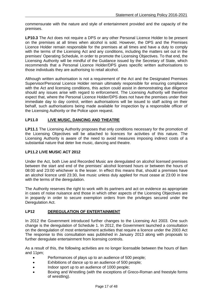commensurate with the nature and style of entertainment provided and the capacity of the premises.

**LP10.3** The Act does not require a DPS or any other Personal Licence Holder to be present on the premises at all times when alcohol is sold. However, the DPS and the Premises Licence Holder remain responsible for the premises at all times and have a duty to comply with the terms of the Licensing Act and any conditions, including the matters set out in the premises' Operating Schedule, in order to promote the Licensing Objectives. To that end, the Licensing Authority will be mindful of the Guidance issued by the Secretary of State, which recommends that a Personal Licence Holder/DPS gives specific written authorisations to those individuals they are authorising to retail alcohol.

Although written authorisation is not a requirement of the Act and the Designated Premises Supervisor/Personal Licence Holder remain ultimately responsible for ensuring compliance with the Act and licensing conditions, this action could assist in demonstrating due diligence should any issues arise with regard to enforcement. The Licensing Authority will therefore expect that, where the Personal Licence Holder/DPS does not have the premises under their immediate day to day control, written authorisations will be issued to staff acting on their behalf, such authorisations being made available for inspection by a responsible officer of the Licensing Authority or the Police upon request.

## **LP11.0 LIVE MUSIC, DANCING AND THEATRE**

**LP11.1** The Licensing Authority proposes that only conditions necessary for the promotion of the Licensing Objectives will be attached to licences for activities of this nature. The Licensing Authority is aware of the need to avoid measures imposing indirect costs of a substantial nature that deter live music, dancing and theatre.

### **LP11.2 LIVE MUSIC ACT 2012**

Under the Act, both Live and Recorded Music are deregulated on alcohol licensed premises between the start and end of the premises' alcohol licensed hours or between the hours of 08:00 and 23:00 whichever is the lesser. In effect this means that, should a premises have an alcohol licence until 23:30, live music unless duly applied for must cease at 23:00 in line with the terms of the deregulation.

The Authority reserves the right to work with its partners and act on evidence as appropriate in cases of noise nuisance and those in which other aspects of the Licensing Objectives are in jeopardy in order to secure exemption orders from the privileges secured under the Deregulation Act.

## **LP12 DEREGULATION OF ENTERTAINMENT**

In 2012 the Government introduced further changes to the Licensing Act 2003. One such change is the deregulation of Schedule 1. In 2012, the Government launched a consultation on the deregulation of most entertainment activities that require a licence under the 2003 Act The response to this consultation was published in January 2013 along with proposals to further deregulate entertainment from licensing controls.

As a result of this, the following activities are no longer licensable between the hours of 8am and 11pm;

- Performances of plays up to an audience of 500 people;
- Exhibitions of dance up to an audience of 500 people;
- Indoor sport up to an audience of 1000 people;
- Boxing and Wrestling (with the exceptions of Greco-Roman and freestyle forms of wrestling).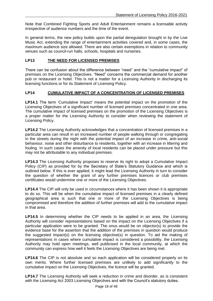Note that Combined Fighting Sports and Adult Entertainment remains a licensable activity irrespective of audience numbers and the time of the event.

In general terms, the new policy builds upon the partial deregulation brought in by the Live Music Act, extending the range of entertainment activities covered and, in some cases, the maximum audience size allowed. There are also certain exemptions in relation to community venues such as council-run halls, schools, hospitals and nurseries.

## **LP13 THE NEED FOR LICENSED PREMISES**

There can be confusion about the difference between "need" and the "cumulative impact" of premises on the Licensing Objectives. "Need" concerns the commercial demand for another pub or restaurant or hotel. This is not a matter for a Licensing Authority in discharging its licensing functions or for its Statement of Licensing Policy.

## **LP14 CUMULATIVE IMPACT OF A CONCENTRATION OF LICENSED PREMISES**

**LP14.1** The term 'Cumulative Impact' means the potential impact on the promotion of the Licensing Objectives of a significant number of licensed premises concentrated in one area. The cumulative impact of licensed premises on the promotion of the Licensing Objectives is a proper matter for the Licensing Authority to consider when reviewing the statement of Licensing Policy.

LP14.2 The Licensing Authority acknowledges that a concentration of licensed premises in a particular area can result in an increased number of people walking through or congregating in the streets during the night with the potential impact of an increase in crime, anti-social behaviour, noise and other disturbance to residents, together with an increase in littering and fouling. In such cases the amenity of local residents can be placed under pressure but this may not be attributable to any individual premises.

**LP14.3** The Licensing Authority proposes to reserve its right to adopt a Cumulative Impact Policy (CIP) as provided for by the Secretary of State's Statutory Guidance and which is outlined below. If this is ever applied, it might lead the Licensing Authority in turn to consider the question of whether the grant of any further premises licences or club premises certificates would undermine one or more of the Licensing Objectives.

**LP14.4** The CIP will only be used in circumstances where it has been shown it is appropriate to do so. This will be when the cumulative impact of licensed premises in a clearly defined geographical area is such that one or more of the Licensing Objectives is being compromised and therefore the addition of further premises will add to the cumulative impact in that area.

**LP14.5** In determining whether the CIP needs to be applied in an area, the Licensing Authority will consider representations based on the impact on the Licensing Objectives if a particular application were to be granted. The onus would be on objector(s) to provide the evidence base for the assertion that the addition of the premises in question would produce the suggested impact(s) on the licensing objective(s) in question. To aid the making of representations in cases where cumulative impact is considered a possibility, the Licensing Authority may hold open meetings, well publicised in the local community, at which the community can express how well it feels the Licensing Objectives are being met.

**LP14.6** The CIP is not absolute and so each application will be considered properly on its own merits. Where further licensed premises are unlikely to add significantly to the cumulative impact on the Licensing Objectives, the licence will be granted.

**LP14.7** The Licensing Authority will seek a reduction in crime and disorder, as is consistent with the Licensing Act 2003 Licensing Objectives and with the Council's statutory duties.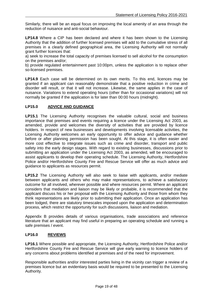Similarly, there will be an equal focus on improving the local amenity of an area through the reduction of nuisance and anti-social behaviour.

**LP14.8** Where a CIP has been declared and where it has been shown to the Licensing Authority that the addition of further licensed premises will add to the cumulative stress of all premises in a clearly defined geographical area, the Licensing Authority will not normally grant further licences that:

a) seek to increase the total capacity of premises licensed to sell alcohol for the consumption on the premises and/or;

b) provide regulated entertainment past 10:00pm, unless the application is to replace other so-licensed premises.

**LP14.9** Each case will be determined on its own merits. To this end, licences may be granted if an applicant can reasonably demonstrate that a positive reduction in crime and disorder will result, or that it will not increase. Likewise, the same applies in the case of nuisance. Variations to extend operating hours (other than for occasional variations) will not normally be granted if the application is for later than 00:00 hours (midnight).

## **LP15.0 ADVICE AND GUIDANCE**

**LP15.1** The Licensing Authority recognises the valuable cultural, social and business importance that premises and events requiring a licence under the Licensing Act 2003, as amended, provide and welcomes the diversity of activities that are provided by licence holders. In respect of new businesses and developments involving licensable activities, the Licensing Authority welcomes an early opportunity to offer advice and guidance whether before or after planning permission has been sought. At this stage, it is often easier and more cost effective to integrate issues such as crime and disorder, transport and public safety into the early design stages. With regard to existing businesses, discussions prior to submitting an application under the Licensing Act 2003, as amended, will be encouraged to assist applicants to develop their operating schedule. The Licensing Authority, Hertfordshire Police and/or Hertfordshire County Fire and Rescue Service will offer as much advice and guidance to applicants as resources permit.

**LP15.2** The Licensing Authority will also seek to liaise with applicants, and/or mediate between applicants and others who may make representations, to achieve a satisfactory outcome for all involved, wherever possible and where resources permit. Where an applicant considers that mediation and liaison may be likely or probable, it is recommended that the applicant discuss his or her proposal with the Licensing Authority and those from whom they think representations are likely prior to submitting their application. Once an application has been lodged, there are statutory timescales imposed upon the application and determination process, which restrict the opportunity for such discussions, liaison and mediation.

Appendix B provides details of various organisations, trade associations and reference literature that an applicant may find useful in preparing an operating schedule and running a safe premises / event.

#### **LP16.0 REVIEWS**

**LP16.1** Where possible and appropriate, the Licensing Authority, Hertfordshire Police and/or Hertfordshire County Fire and Rescue Service will give early warning to licence holders of any concerns about problems identified at premises and of the need for improvement.

Responsible authorities and/or interested parties living in the vicinity can trigger a review of a premises licence but an evidentiary basis would be required to be presented to the Licensing Authority.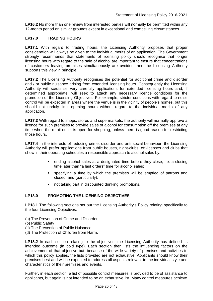**LP16.2** No more than one review from interested parties will normally be permitted within any 12-month period on similar grounds except in exceptional and compelling circumstances.

#### **LP17.0 TRADING HOURS**

**LP17.1** With regard to trading hours, the Licensing Authority proposes that proper consideration will always be given to the individual merits of an application. The Government strongly recommends that statements of licensing policy should recognise that longer licensing hours with regard to the sale of alcohol are important to ensure that concentrations of customers leaving premises simultaneously are avoided, and the Licensing Authority supports this view in principle.

**LP17.2** The Licensing Authority recognises the potential for additional crime and disorder and / or public nuisance arising from extended licensing hours. Consequently the Licensing Authority will scrutinise very carefully applications for extended licensing hours and, if determined appropriate, will seek to attach any necessary licence conditions for the promotion of the Licensing Objectives. For example, stricter conditions with regard to noise control will be expected in areas where the venue is in the vicinity of people's homes, but this should not unduly limit opening hours without regard to the individual merits of any application.

**LP17.3** With regard to shops, stores and supermarkets, the authority will normally approve a licence for such premises to provide sales of alcohol for consumption off the premises at any time when the retail outlet is open for shopping, unless there is good reason for restricting those hours.

**LP17.4** In the interests of reducing crime, disorder and anti-social behaviour, the Licensing Authority will prefer applications from public houses, night-clubs, off-licenses and clubs that show in their operating schedules a responsible approach to alcohol sales by:

- ending alcohol sales at a designated time before they close, i.e. a closing time later than "a last orders" time for alcohol sales;
- specifying a time by which the premises will be emptied of patrons and closed; and (particularly);
- not taking part in discounted drinking promotions.

#### **LP18.0 PROMOTING THE LICENSING OBJECTIVES**

**LP18.1** The following sections set out the Licensing Authority's Policy relating specifically to the four Licensing Objectives:

- (a) The Prevention of Crime and Disorder
- (b) Public Safety
- (c) The Prevention of Public Nuisance
- (d) The Protection of Children from Harm.

**LP18.2** In each section relating to the objectives, the Licensing Authority has defined its intended outcome (in bold type). Each section then lists the influencing factors on the achievement of that objective but, because of the wide variety of premises and activities to which this policy applies, the lists provided are not exhaustive. Applicants should know their premises best and will be expected to address all aspects relevant to the individual style and characteristics of their premises and events.

Further, in each section, a list of possible control measures is provided to be of assistance to applicants, but again is not intended to be an exhaustive list. Many control measures achieve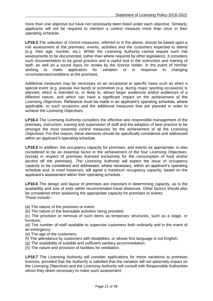more than one objective but have not necessarily been listed under each objective. Similarly, applicants will not be required to mention a control measure more than once in their operating schedule.

**LP18.3** The selection of control measures, referred to in the above, should be based upon a risk assessment of the premises, events, activities and the customers expected to attend (e.g. their age, number, etc.). Whilst the Licensing Authority cannot require such risk assessments to be documented, (other than where required by other legislation), it considers such documentation to be good practice and a useful tool in the instruction and training of staff, as well as a sound basis for review by the licence holder, in the event of him/her wishing to make application for variation or in response to changing circumstances/conditions at the premises.

Additional measures may be necessary on an occasional or specific basis such as when a special event (e.g. popular live band) or promotion (e.g. during major sporting occasions) is planned, which is intended to, or likely to, attract larger audiences and/or audiences of a different nature, and which can have a significant impact on the achievement of the Licensing Objectives. Reference must be made in an applicant's operating schedule, where applicable, to such occasions and the additional measures that are planned in order to achieve the Licensing Objectives.

**LP18.4** The Licensing Authority considers the effective and responsible management of the premises, instruction, training and supervision of staff and the adoption of best practice to be amongst the most essential control measures for the achievement of all the Licensing Objectives. For this reason, these elements should be specifically considered and addressed within an applicant's operating schedule.

**LP18.5** In addition, the occupancy capacity for premises, and events as appropriate, is also considered to be an essential factor in the achievement of the four Licensing Objectives, (except in respect of premises licensed exclusively for the consumption of food and/or alcohol off the premises). The Licensing Authority will expect the issue of occupancy capacity to be considered and addressed, where necessary, within an applicant's operating schedule and, in most instances, will agree a maximum occupancy capacity, based on the applicant's assessment within their operating schedule.

**LP18.6** The design and layout of premises are important in determining capacity, as is the availability and size of exits within recommended travel distances. Other factors should also be considered when assessing the appropriate capacity for premises or events. These include:-

- (a) The nature of the premises or event;
- (b) The nature of the licensable activities being provided;
- (c) The provision or removal of such items as temporary structures, such as a stage, or furniture;

(d) The number of staff available to supervise customers both ordinarily and in the event of an emergency;

(e) The age of the customers;

- (f) The attendance by customers with disabilities, or whose first language is not English;
- (g) The availability of suitable and sufficient sanitary accommodation;
- (h) The nature and provision of facilities for ventilation.

LP18.7 The Licensing Authority will consider applications for minor variations to premises licences, provided that the Authority is satisfied that the variation will not adversely impact on the Licensing Objectives and the Licensing Authority will consult with Responsible Authorities whom they deem necessary to make such assessment.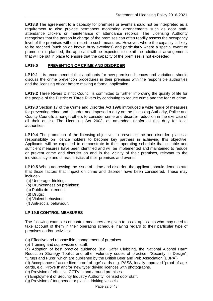**LP18.8** The agreement to a capacity for premises or events should not be interpreted as a requirement to also provide permanent monitoring arrangements such as door staff, attendance clickers or maintenance of attendance records. The Licensing Authority recognises that the person in charge of the premises can often readily assess the occupancy level of the premises without resort to such measures. However, where the capacity is likely to be reached (such as on known busy evenings) and particularly where a special event or promotion is planned, the applicant will be expected to detail the additional arrangements that will be put in place to ensure that the capacity of the premises is not exceeded.

## **LP19.0 PREVENTION OF CRIME AND DISORDER**

LP19.1 It is recommended that applicants for new premises licences and variations should discuss the crime prevention procedures in their premises with the responsible authorities and the licensing officer before making a formal application**.**

**LP19.2** Three Rivers District Council is committed to further improving the quality of life for the people of the District of Three Rivers by continuing to reduce crime and the fear of crime.

**LP19.3** Section 17 of the Crime and Disorder Act 1998 introduced a wide range of measures for preventing crime and disorder and imposed a duty on the Licensing Authority, Police and County Councils amongst others to consider crime and disorder reduction in the exercise of all their duties. The Licensing Act 2003, as amended, reinforces this duty for local authorities.

LP19.4 The promotion of the licensing objective, to prevent crime and disorder, places a responsibility on licence holders to become key partners in achieving this objective. Applicants will be expected to demonstrate in their operating schedule that suitable and sufficient measures have been identified and will be implemented and maintained to reduce or prevent crime and disorder on and in the vicinity of their premises, relevant to the individual style and characteristics of their premises and events.

**LP19.5** When addressing the issue of crime and disorder, the applicant should demonstrate that those factors that impact on crime and disorder have been considered. These may include:-

- (a) Underage drinking;
- (b) Drunkenness on premises;
- (c) Public drunkenness;
- (d) Drugs;
- (e) Violent behaviour;
- (f) Anti-social behaviour.

## **LP 19.6 CONTROL MEASURES**

The following examples of control measures are given to assist applicants who may need to take account of them in their operating schedule, having regard to their particular type of premises and/or activities:-

(a) Effective and responsible management of premises.

(b) Training and supervision of staff.

(c) Adoption of best practice guidance (e.g. Safer Clubbing, the National Alcohol Harm Reduction Strategy Toolkit and other voluntary codes of practice, "Security in Design", "Drugs and Pubs" which are published by the British Beer and Pub Association [BBPA])

(d) Acceptance of accredited 'proof of age' cards e.g. PASS, locally approved 'proof of age' cards, e.g. 'Prove It' and/or 'new type' driving licences with photographs.

(e) Provision of effective CCTV in and around premises.

(f) Employment of Security Industry Authority licensed door staff.

(g) Provision of toughened or plastic drinking vessels.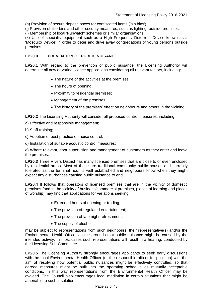(h) Provision of secure deposit boxes for confiscated items ('sin bins').

(i) Provision of litterbins and other security measures, such as lighting, outside premises.

(j) Membership of local 'Pubwatch' schemes or similar organisations.

(k) Use of specialist equipment such as a High Frequency Deterrent Device known as a 'Mosquito Device' in order to deter and drive away congregations of young persons outside premises.

## **LP20.0 PREVENTION OF PUBLIC NUISANCE**

LP20.1 With regard to the prevention of public nuisance, the Licensing Authority will determine all new or varied licence applications considering all relevant factors, including:

- The nature of the activities at the premises;
- The hours of opening;
- Proximity to residential premises;
- Management of the premises;
- The history of the premises' effect on neighbours and others in the vicinity;

**LP20.2** The Licensing Authority will consider all proposed control measures, including:

- a) Effective and responsible management;
- b) Staff training;
- c) Adoption of best practice on noise control;
- d) Installation of suitable acoustic control measures;

e) Where relevant, door supervision and management of customers as they enter and leave the premises.

**LP20.3** Three Rivers District has many licensed premises that are close to or even enclosed by residential areas. Most of these are traditional community public houses and currently tolerated as the terminal hour is well established and neighbours know when they might expect any disturbances causing public nuisance to end.

**LP20.4** It follows that operators of licensed premises that are in the vicinity of domestic premises (and in the vicinity of business/commercial premises, places of learning and places of worship) may find that applications for variations seeking:

- Extended hours of opening or trading;
- The provision of regulated entertainment;
- The provision of late night refreshment;
- The supply of alcohol;

may be subject to representations from such neighbours, their representative(s) and/or the Environmental Health Officer on the grounds that public nuisance might be caused by the intended activity. In most cases such representations will result in a hearing, conducted by the Licensing Sub-Committee.

**LP20.5** The Licensing Authority strongly encourages applicants to seek early discussions with the local Environmental Health Officer (or the responsible officer for pollution) with the aim of resolving how potential public nuisances might be effectively controlled, so that agreed measures might be built into the operating schedule as mutually acceptable conditions. In this way representations from the Environmental Health Officer may be avoided. The Council also encourages local mediation in certain situations that might be amenable to such a solution.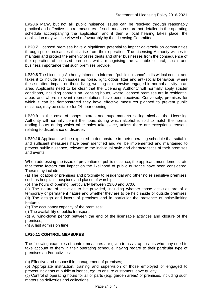**LP20.6** Many, but not all, public nuisance issues can be resolved through reasonably practical and effective control measures. If such measures are not detailed in the operating schedule accompanying the application, and if then a local hearing takes place, the application may well be viewed unfavourably by the Licensing Committee.

**LP20.7** Licensed premises have a significant potential to impact adversely on communities through public nuisances that arise from their operation. The Licensing Authority wishes to maintain and protect the amenity of residents and other businesses from the consequence of the operation of licensed premises whilst recognising the valuable cultural, social and business importance that such premises provide.

**LP20.8** The Licensing Authority intends to interpret "public nuisance" in its widest sense, and takes it to include such issues as noise, light, odour, litter and anti-social behaviour, where these matters impact on those living, working or otherwise engaged in normal activity in an area. Applicants need to be clear that the Licensing Authority will normally apply stricter conditions, including controls on licensing hours, where licensed premises are in residential areas and where relevant representations have been received. Conversely, premises for which it can be demonstrated they have effective measures planned to prevent public nuisance, may be suitable for 24-hour opening.

**LP20.9** In the case of shops, stores and supermarkets selling alcohol, the Licensing Authority will normally permit the hours during which alcohol is sold to match the normal trading hours during which other sales take place, unless there are exceptional reasons relating to disturbance or disorder.

**LP20.10** Applicants will be expected to demonstrate in their operating schedule that suitable and sufficient measures have been identified and will be implemented and maintained to prevent public nuisance, relevant to the individual style and characteristics of their premises and events.

When addressing the issue of prevention of public nuisance, the applicant must demonstrate that those factors that impact on the likelihood of public nuisance have been considered. These may include:-

(a) The location of premises and proximity to residential and other noise sensitive premises, such as hospitals, hospices and places of worship;

(b) The hours of opening, particularly between 23:00 and 07:00;

(c) The nature of activities to be provided, including whether those activities are of a temporary or permanent nature and whether they are to be held inside or outside premises; (d) The design and layout of premises and in particular the presence of noise-limiting features;

(e) The occupancy capacity of the premises;

(f) The availability of public transport;

(g) A 'wind-down period' between the end of the licensable activities and closure of the premises;

(h) A last admission time.

## **LP20.11 CONTROL MEASURES**

The following examples of control measures are given to assist applicants who may need to take account of them in their operating schedule, having regard to their particular type of premises and/or activities:-

(a) Effective and responsible management of premises;

(b) Appropriate instruction, training and supervision of those employed or engaged to prevent incidents of public nuisance, e;g; to ensure customers leave quietly;

(c) Control of operating hours for all or parts (e;g; garden areas) of premises, including such matters as deliveries and collections;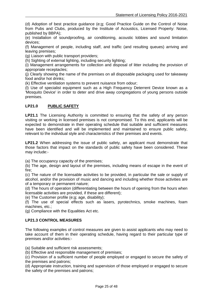(d) Adoption of best practice guidance (e;g; Good Practice Guide on the Control of Noise from Pubs and Clubs, produced by the Institute of Acoustics, Licensed Property: Noise, published by BBPA);

(e) Installation of soundproofing, air conditioning, acoustic lobbies and sound limitation devices;

(f) Management of people, including staff, and traffic (and resulting queues) arriving and leaving premises;

(g) Liaison with public transport providers;

(h) Sighting of external lighting, including security lighting;

(i) Management arrangements for collection and disposal of litter including the provision of appropriate receptacles;

(j) Clearly showing the name of the premises on all disposable packaging used for takeaway food and/or hot drinks;

(k) Effective ventilation systems to prevent nuisance from odour;

(l) Use of specialist equipment such as a High Frequency Deterrent Device known as a 'Mosquito Device' in order to deter and drive away congregations of young persons outside premises.

#### **LP21.0 PUBLIC SAFETY**

**LP21.1** The Licensing Authority is committed to ensuring that the safety of any person visiting or working in licensed premises is not compromised. To this end, applicants will be expected to demonstrate in their operating schedule that suitable and sufficient measures have been identified and will be implemented and maintained to ensure public safety, relevant to the individual style and characteristics of their premises and events.

LP21.2 When addressing the issue of public safety, an applicant must demonstrate that those factors that impact on the standards of public safety have been considered. These may include:-

(a) The occupancy capacity of the premises;

(b) The age, design and layout of the premises, including means of escape in the event of fire;

(c) The nature of the licensable activities to be provided, in particular the sale or supply of alcohol, and/or the provision of music and dancing and including whether those activities are of a temporary or permanent nature;

(d) The hours of operation (differentiating between the hours of opening from the hours when licensable activities are provided, if these are different);

(e) The Customer profile (e;g; age, disability);

(f) The use of special effects such as lasers, pyrotechnics, smoke machines, foam machines, etc.;

(g) Compliance with the Equalities Act etc.

#### **LP21.3 CONTROL MEASURES**

The following examples of control measures are given to assist applicants who may need to take account of them in their operating schedule, having regard to their particular type of premises and/or activities:-

(a) Suitable and sufficient risk assessments;

(b) Effective and responsible management of premises;

(c) Provision of a sufficient number of people employed or engaged to secure the safety of the premises and patrons;

(d) Appropriate instruction, training and supervision of those employed or engaged to secure the safety of the premises and patrons;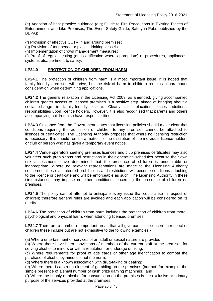(e) Adoption of best practice guidance (e;g; Guide to Fire Precautions in Existing Places of Entertainment and Like Premises, The Event Safety Guide, Safety in Pubs published by the BBPA);

(f) Provision of effective CCTV in and around premises;

(g) Provision of toughened or plastic drinking vessels;

(h) Implementation of crowd management measures;

(i) Proof of regular testing (and certification where appropriate) of procedures, appliances, systems etc., pertinent to safety.

#### **LP24.0 PROTECTION OF CHILDREN FROM HARM**

**LP24.1** The protection of children from harm is a most important issue. It is hoped that family-friendly premises will thrive, but the risk of harm to children remains a paramount consideration when determining applications.

**LP24.2** The general relaxation in the Licensing Act 2003, as amended, giving accompanied children greater access to licensed premises is a positive step, aimed at bringing about a social change in family-friendly leisure. Clearly this relaxation places additional responsibilities upon licence holders. However, it is also recognised that parents and others accompanying children also have responsibilities.

**LP24.3** Guidance from the Government states that licensing policies should make clear that conditions requiring the admission of children to any premises cannot be attached to licences or certificates. The Licensing Authority proposes that where no licensing restriction is necessary, this should remain a matter for the discretion of the individual licence holders or club or person who has given a temporary event notice.

**LP24.4** Venue operators seeking premises licences and club premises certificates may also volunteer such prohibitions and restrictions in their operating schedules because their own risk assessments have determined that the presence of children is undesirable or inappropriate. Where no relevant representations are made to the Licensing Authority concerned, these volunteered prohibitions and restrictions will become conditions attaching to the licence or certificate and will be enforceable as such. The Licensing Authority in these circumstances may impose no other conditions concerning the presence of children on premises.

**LP24.5** The policy cannot attempt to anticipate every issue that could arise in respect of children; therefore general rules are avoided and each application will be considered on its merits.

**LP24.6** The protection of children from harm includes the protection of children from moral, psychological and physical harm, when attending licensed premises.

**LP24.7** There are a number of important areas that will give particular concern in respect of children these include but are not exhaustive to the following examples:-

(a) Where entertainment or services of an adult or sexual nature are provided;

(b) Where there have been convictions of members of the current staff at the premises for serving alcohol to minors or with a reputation for underage drinking;

(c) Where requirements for proof of age cards or other age identification to combat the purchase of alcohol by minors is not the norm;

(d) Where there is a known association with drug-taking or dealing;

(e) Where there is a strong element of gambling on the premises (but not, for example, the simple presence of a small number of cash prize gaming machines), and

(f) Where the supply of alcohol for consumption on the premises is the exclusive or primary purpose of the services provided at the premises.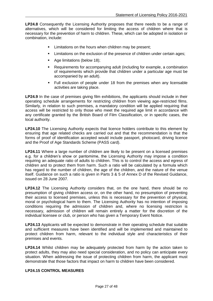**LP24.8** Consequently the Licensing Authority proposes that there needs to be a range of alternatives, which will be considered for limiting the access of children where that is necessary for the prevention of harm to children. These, which can be adopted in isolation or combination, include:

- Limitations on the hours when children may be present;
- Limitations on the exclusion of the presence of children under certain ages;
- Age limitations (below 18):
- Requirements for accompanying adult (including for example, a combination of requirements which provide that children under a particular age must be accompanied by an adult).
- Full exclusion of people under 18 from the premises when any licensable activities are taking place.

**LP24.9** In the case of premises giving film exhibitions, the applicants should include in their operating schedule arrangements for restricting children from viewing age-restricted films. Similarly, in relation to such premises, a mandatory condition will be applied requiring that access will be restricted to only those who meet the required age limit in accordance with any certificate granted by the British Board of Film Classification, or in specific cases, the local authority.

**LP24.10** The Licensing Authority expects that licence holders contribute to this element by ensuring that age related checks are carried out and that the recommendation is that the forms of proof of identification accepted would include passport, photocard, driving licence and the Proof of Age Standards Scheme (PASS card).

**LP24.11** Where a large number of children are likely to be present on a licensed premises e.g. for a children's show or pantomime, the Licensing Authority may impose a condition requiring an adequate ratio of adults to children. This is to control the access and egress of children and to protect them from harm. Such a ratio will be calculated by a formula which has regard to the number of children, the age of the children, and the nature of the venue itself. Guidance on such a ratio is given in Parts 3 & 5 of Annex D of the Revised Guidance, issued on 28 June 2007.

**LP24.12** The Licensing Authority considers that, on the one hand, there should be no presumption of giving children access or, on the other hand, no presumption of preventing their access to licensed premises, unless this is necessary for the prevention of physical, moral or psychological harm to them. The Licensing Authority has no intention of imposing conditions requiring the admission of children and, where no licensing restriction is necessary, admission of children will remain entirely a matter for the discretion of the individual licensee or club, or person who has given a Temporary Event Notice.

**LP24.13** Applicants will be expected to demonstrate in their operating schedule that suitable and sufficient measures have been identified and will be implemented and maintained to protect children from harm, relevant to the individual style and characteristics of their premises and events.

**LP24.14** Whilst children may be adequately protected from harm by the action taken to protect adults, they may also need special consideration, and no policy can anticipate every situation. When addressing the issue of protecting children from harm, the applicant must demonstrate that those factors that impact on harm to children have been considered.

#### **LP24.15 CONTROL MEASURES**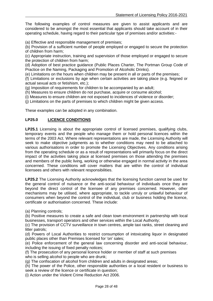The following examples of control measures are given to assist applicants and are considered to be amongst the most essential that applicants should take account of in their operating schedule, having regard to their particular type of premises and/or activities:-

(a) Effective and responsible management of premises;

(b) Provision of a sufficient number of people employed or engaged to secure the protection of children from harm;

(c) Appropriate instruction, training and supervision of those employed or engaged to secure the protection of children from harm;

(d) Adoption of best practice guidance (Public Places Charter, The Portman Group Code of Practice on the Naming, Packaging and Promotion of Alcoholic Drinks).

(e) Limitations on the hours when children may be present in all or parts of the premises;

(f) Limitations or exclusions by age when certain activities are taking place (e.g. feigned or actual sexual acts or fetishism, etc.);

(g) Imposition of requirements for children to be accompanied by an adult;

(h) Measures to ensure children do not purchase, acquire or consume alcohol;

(i) Measures to ensure children are not exposed to incidences of violence or disorder;

(j) Limitations on the parts of premises to which children might be given access.

These examples can be adopted in any combination.

#### **LP25.0 LICENCE CONDITIONS**

**LP25.1** Licensing is about the appropriate control of licensed premises, qualifying clubs, temporary events and the people who manage them or hold personal licences within the terms of the 2003 Act. Where relevant representations are made, the Licensing Authority will seek to make objective judgments as to whether conditions may need to be attached to various authorisations in order to promote the Licensing Objectives. Any conditions arising from the operating schedule or as a result of representations will primarily focus on the direct impact of the activities taking place at licensed premises on those attending the premises and members of the public living, working or otherwise engaged in normal activity in the area concerned. These conditions will cover matters that are within the control of individual licensees and others with relevant responsibilities.

**LP25.2** The Licensing Authority acknowledges that the licensing function cannot be used for the general control of nuisance or the anti-social behaviour of individuals once they are beyond the direct control of the licensee of any premises concerned. However, other mechanisms may be utilised, where appropriate, to tackle unruly or unlawful behaviour of consumers when beyond the control of the individual, club or business holding the licence, certificate or authorisation concerned. These include:

(a) Planning controls;

(b) Positive measures to create a safe and clean town environment in partnership with local businesses, transport operators and other services within the Local Authority;

(c) The provision of CCTV surveillance in town centres, ample taxi ranks, street cleaning and litter patrols;

(d) Powers of Local Authorities to restrict consumption of intoxicating liquor in designated public places other than Premises licensed for 'on' sales;

(e) Police enforcement of the general law concerning disorder and anti-social behaviour, including the issuing of fixed penalty notices;

(f) The prosecution of any personal licence holder or member of staff at such premises who is selling alcohol to people who are drunk:

(g) The confiscation of alcohol from children and adults in designated areas;

(h) The power of the Police, other responsible authorities or a local resident or business to seek a review of the licence or certificate in question;

(i) Action under the Violent Crime Reduction Act 2006.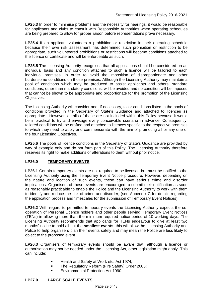**LP25.3** In order to minimise problems and the necessity for hearings, it would be reasonable for applicants and clubs to consult with Responsible Authorities when operating schedules are being prepared to allow for proper liaison before representations prove necessary.

**LP25.4** If an applicant volunteers a prohibition or restriction in their operating schedule because their own risk assessment has determined such prohibition or restriction to be appropriate, such volunteered prohibitions or restrictions will become conditions attached to the licence or certificate and will be enforceable as such.

**LP25.5** The Licensing Authority recognises that all applications should be considered on an individual basis and any condition attached to such a licence will be tailored to each individual premises, in order to avoid the imposition of disproportionate and other burdensome conditions on those premises. Although the Licensing Authority may maintain a pool of conditions which may be produced to assist applicants and others, standard conditions, other than mandatory conditions, will be avoided and no condition will be imposed that cannot be shown to be appropriate and proportionate for the promotion of the Licensing Objectives.

The Licensing Authority will consider and, if necessary, tailor conditions listed in the pools of conditions provided in the Secretary of State's Guidance and attached to licences as appropriate. However, details of these are not included within this Policy because it would be impractical to try and envisage every conceivable scenario in advance. Consequently, tailored conditions will be drafted and attached to licences specific to the respective premises to which they need to apply and commensurate with the aim of promoting all or any one of the four Licensing Objectives.

**LP25.6** The pools of licence conditions in the Secretary of State's Guidance are provided by way of example only and do not form part of this Policy. The Licensing Authority therefore reserves its right to make additions or alterations to them without prior notice.

## **LP26.0 TEMPORARY EVENTS**

**LP26.1** Certain temporary events are not required to be licensed but must be notified to the Licensing Authority using the Temporary Event Notice procedure. However, depending on the nature and location of such events, these can have serious crime and disorder implications. Organisers of these events are encouraged to submit their notification as soon as reasonably practicable to enable the Police and the Licensing Authority to work with them to identify and reduce the risk of crime and disorder, (see Appendix C for details regarding the application process and timescales for the submission of Temporary Event Notices).

**LP26.2** With regard to permitted temporary events the Licensing Authority expects the cooperation of Personal Licence holders and other people serving Temporary Event Notices (TENs) in allowing more than the minimum required notice period of 10 working days. The Licensing Authority recommends that applicants for TENs endeavour to give at least two months' notice to hold all but the **smallest events**; this will allow the Licensing Authority and Police to help organisers plan their events safely and may mean the Police are less likely to object to the proposed event.

**LP26.3** Organisers of temporary events should be aware that, although a licence or authorisation may not be needed under the Licensing Act, other legislation might apply. This can include:

- **Health and Safety at Work etc. Act 1974;**
- **The Regulatory Reform (Fire Safety) Order 2005;**
- Environmental Protection Act 1990.

#### **LP27.0 LARGE SCALE EVENTS**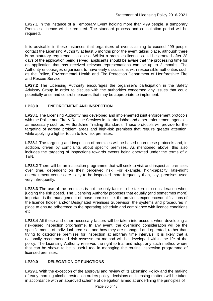**LP27.1** In the instance of a Temporary Event holding more than 499 people, a temporary Premises Licence will be required. The standard process and consultation period will be required.

It is advisable in these instances that organisers of events aiming to exceed 499 people contact the Licensing Authority at least 6 months prior the event taking place, although there is no statutory requirement to do so. Whilst a premises licence could be granted after 28 days of the application being served, applicants should be aware that the processing time for an application that has received relevant representations can be up to 2 months. The Authority encourages organisers to have early discussions with responsible authorities such as the Police, Environmental Health and Fire Protection Department of Hertfordshire Fire and Rescue Service.

**LP27.2** The Licensing Authority encourages the organiser's participation in the Safety Advisory Group in order to discuss with the authorities concerned any issues that could potentially arise and control measures that may be appropriate to implement.

## **LP28.0 ENFORCEMENT AND INSPECTION**

**LP28.1** The Licensing Authority has developed and implemented joint enforcement protocols with the Police and Fire & Rescue Services in Hertfordshire and other enforcement agencies as necessary such as Hertfordshire Trading Standards. These protocols will provide for the targeting of agreed problem areas and high-risk premises that require greater attention, while applying a lighter touch to low-risk premises.

**LP28.1** The targeting and inspection of premises will be based upon these protocols and, in addition, driven by complaints about specific premises. As mentioned above, this also includes the targeting of inspections towards events being operated under the terms of a TEN.

**LP28.2** There will be an inspection programme that will seek to visit and inspect all premises over time, dependent on their perceived risk. For example, high-capacity, late-night entertainment venues are likely to be inspected more frequently than, say, premises used very infrequently.

**LP28.3** The use of the premises is not the only factor to be taken into consideration when judging the risk posed. The Licensing Authority proposes that equally (and sometimes more) important is the management of those premises i.e. the previous experience/qualifications of the licence holder and/or Designated Premises Supervisor, the systems and procedures in place to ensure adherence to the operating schedule and compliance with licence conditions etc.

**LP28.4** All these and other necessary factors will be taken into account when developing a risk-based inspection programme. In any event, the overriding consideration will be the specific merits of individual premises and how they are managed and operated, rather than trying to categorise premises for inspection at arbitrary time intervals. It is likely that a nationally recommended risk assessment method will be developed within the life of the policy. The Licensing Authority reserves the right to trial and adopt any such method where that can be shown to be a useful tool in managing the routine inspection programme of licensed premises.

## **LP29.0 DELEGATION OF FUNCTIONS**

**LP29.1** With the exception of the approval and review of its Licensing Policy and the making of early morning alcohol restriction orders policy, decisions on licensing matters will be taken in accordance with an approved scheme of delegation aimed at underlining the principles of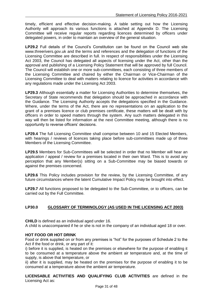timely, efficient and effective decision-making. A table setting out how the Licensing Authority will approach its various functions is attached at Appendix D. The Licensing Committee will receive regular reports regarding licences determined by officers under delegated powers, in order to maintain an overview of the general situation.

**LP29.2** Full details of the Council's Constitution can be found on the Council web site www.threerivers.gov.uk and the terms and references and the delegation of functions of the Licensing Committee are described in full. In respect of responsibilities under the Licensing Act 2003, the Council has delegated all aspects of licensing under the Act, other than the approval and publishing of a Licensing Policy Statement that will be approved by full Council. The Council will establish one or more sub-committees, each consisting of three members of the Licensing Committee and chaired by either the Chairman or Vice-Chairman of the Licensing Committee to deal with matters relating to licence for activities in accordance with any regulations made under the Licensing Act 2003.

**LP29.3** Although essentially a matter for Licensing Authorities to determine themselves, the Secretary of State recommends that delegation should be approached in accordance with the Guidance. The Licensing Authority accepts the delegations specified in the Guidance. Where, under the terms of the Act, there are no representations on an application to the grant of a premises licence or club premises certificate, these matters will be dealt with by officers in order to speed matters through the system. Any such matters delegated in this way will then be listed for information at the next Committee meeting, although there is no opportunity to reverse officers' decisions.

**LP29.4** The full Licensing Committee shall comprise between 10 and 15 Elected Members, with hearings / reviews of licences taking place before sub-committees made up of three Members of the Licensing Committee.

**LP29.5** Members for Sub-Committees will be selected in order that no Member will hear an application / appeal / review for a premises located in their own Ward. This is to avoid any perception that any Member(s) sitting on a Sub-Committee may be biased towards or against the premises concerned.

**LP29.6** This Policy includes provision for the review, by the Licensing Committee, of any future circumstances where the latent Cumulative Impact Policy may be brought into effect.

**LP29.7** All functions proposed to be delegated to the Sub-Committee, or to officers, can be carried out by the Full Committee.

## **LP30.0 GLOSSARY OF TERMINOLOGY (AS USED IN THE LICENSING ACT 2003)**

**CHILD** is defined as an individual aged under 16.

A child is unaccompanied if he or she is not in the company of an individual aged 18 or over.

#### **HOT FOOD OR HOT DRINK**

Food or drink supplied on or from any premises is "hot" for the purposes of Schedule 2 to the Act if the food or drink, or any part of it:

i) before it is supplied, is heated on the premises or elsewhere for the purpose of enabling it to be consumed at a temperature above the ambient air temperature and, at the time of supply, is above that temperature, or

ii) after it is supplied, may be heated on the premises for the purpose of enabling it to be consumed at a temperature above the ambient air temperature.

**LICENSABLE ACTIVITIES AND QUALIFYING CLUB ACTIVITIES** are defined in the Licensing Act as: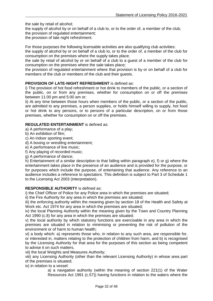the sale by retail of alcohol;

the supply of alcohol by or on behalf of a club to, or to the order of, a member of the club; the provision of regulated entertainment;

the provision of late night refreshment.

For those purposes the following licensable activities are also qualifying club activities:

the supply of alcohol by or on behalf of a club to, or to the order of, a member of the club for consumption on the premises where the supply takes place;

the sale by retail of alcohol by or on behalf of a club to a guest of a member of the club for consumption on the premises where the sale takes place;

the provision of regulated entertainment where that provision is by or on behalf of a club for members of the club or members of the club and their guests.

#### **PROVISION OF LATE-NIGHT REFRESHMENT** is defined as:

i) The provision of hot food refreshment or hot drink to members of the public, or a section of the public, on or from any premises, whether for consumption on or off the premises between 11:00 pm and 5:00 am or;

ii) At any time between those hours when members of the public, or a section of the public, are admitted to any premises, a person supplies, or holds himself willing to supply, hot food or hot drink to any persons, or to persons of a particular description, on or from those premises, whether for consumption on or off the premises.

#### **REGULATED ENTERTAINMENT** is defined as:

a) A performance of a play;

- b) An exhibition of film;
- c) An indoor sporting event;

d) A boxing or wrestling entertainment;

e) A performance of live music;

f) Any playing of recorded music;

g) A performance of dance;

h) Entertainment of a similar description to that falling within paragraph e), f) or g) where the entertainment takes place in the presence of an audience and is provided for the purpose, or for purposes which include the purpose, of entertaining that audience. Any reference to an audience includes a reference to spectators. This definition is subject to Part 3 of Schedule 1 to the Licensing Act 2003 (interpretation).

#### **RESPONSIBLE AUTHORITY** is defined as:

i) the Chief Officer of Police for any Police area in which the premises are situated;

ii) the Fire Authority for any area in which the premises are situated;

iii) the enforcing authority within the meaning given by section 18 of the Health and Safety at Work etc. Act 1974 for any area in which the premises are situated;

iv) the local Planning Authority within the meaning given by the Town and Country Planning Act 1990 (c.8) for any area in which the premises are situated;

v) the local authority by which statutory functions are exercisable in any area in which the premises are situated in relation to minimising or preventing the risk of pollution of the environment or of harm to human health;

vi) a body which: a) represents those who, in relation to any such area, are responsible for, or interested in, matters relating to the protection of children from harm, and b) is recognised by the Licensing Authority for that area for the purposes of this section as being competent to advise it on such matters.

vii) the local Weights and Measures Authority;

viii) any Licensing Authority (other than the relevant Licensing Authority) in whose area part of the premises is situated;

ix) in relation to a vessel:

a) a navigation authority (within the meaning of section 221(1) of the Water Resources Act 1991 (c.57)) having functions in relation to the waters where the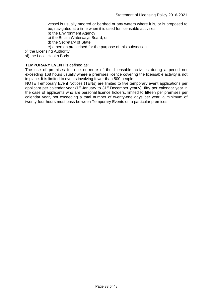vessel is usually moored or berthed or any waters where it is, or is proposed to be, navigated at a time when it is used for licensable activities

- b) the Environment Agency
- c) the British Waterways Board, or
- d) the Secretary of State
- e) a person prescribed for the purpose of this subsection.
- x) the Licensing Authority;
- xi) the Local Health Body

#### **TEMPORARY EVENT** is defined as:

The use of premises for one or more of the licensable activities during a period not exceeding 168 hours usually where a premises licence covering the licensable activity is not in place. It is limited to events involving fewer than 500 people.

NOTE Temporary Event Notices (TENs) are limited to five temporary event applications per applicant per calendar year (1<sup>st</sup> January to 31<sup>st</sup> December yearly), fifty per calendar year in the case of applicants who are personal licence holders, limited to fifteen per premises per calendar year, not exceeding a total number of twenty-one days per year, a minimum of twenty-four hours must pass between Temporary Events on a particular premises.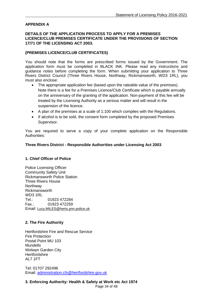## **APPENDIX A**

## **DETAILS OF THE APPLICATION PROCESS TO APPLY FOR A PREMISES LICENCE/CLUB PREMISES CERTIFICATE UNDER THE PROVISIONS OF SECTION 17/71 OF THE LICENSING ACT 2003.**

### **(PREMISES LICENCE/CLUB CERTIFICATES)**

You should note that the forms are prescribed forms issued by the Government. The application form must be completed in BLACK INK. Please read any instructions and guidance notes before completing the form. When submitting your application to Three Rivers District Council (Three Rivers House, Northway, Rickmansworth, WD3 1RL), you must also enclose:

- The appropriate application fee (based upon the rateable value of the premises). Note there is a fee for a Premises Licence/Club Certificate which is payable annually on the anniversary of the granting of the application. Non-payment of this fee will be treated by the Licensing Authority as a serious matter and will result in the suspension of the licence.
- A plan of the premises at a scale of 1:100 which complies with the Regulations.
- If alcohol is to be sold, the consent form completed by the proposed Premises Supervisor.

You are required to serve a copy of your complete application on the Responsible Authorities:

## **Three Rivers District - Responsible Authorities under Licensing Act 2003**

#### **1. Chief Officer of Police**

Police Licensing Officer Community Safety Unit Rickmansworth Police Station Three Rivers House Northway Rickmansworth WD3 1RL Tel.: 01923 472284 Fax.: 01923 472259 Email: [Lucy.MILES@herts.pnn.police.uk](mailto:Lucy.MILES@herts.pnn.police.uk)

#### **2. The Fire Authority**

Hertfordshire Fire and Rescue Service Fire Protection Postal Point MU 103 Mundells Welwyn Garden City **Hertfordshire** AL7 1FT

Tel: 01707 292496 Email: [administration.cfs@hertfordshire.gov.uk](mailto:administration.cfs@hertfordshire.gov.uk)

## **3. Enforcing Authority: Health & Safety at Work etc Act 1974**

Page 34 of 48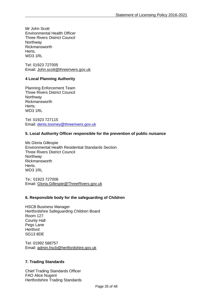Mr John Scott Environmental Health Officer Three Rivers District Council **Northway** Rickmansworth Herts. WD3 1RL

Tel: 01923 727005 Email: [John.scott@threerivers.gov.uk](mailto:John.scott@threerivers.gov.uk)

## **4 Local Planning Authority**

Planning Enforcement Team Three Rivers District Council **Northway** Rickmansworth Herts. WD3 1RL

Tel: 01923 727115 Email: [denis.toomey@threerivers.gov.uk](mailto:denis.toomey@threerivers.gov.uk)

## **5. Local Authority Officer responsible for the prevention of public nuisance**

Ms Gloria Gillespie Environmental Health Residential Standards Section Three Rivers District Council **Northway** Rickmansworth Herts. WD3 1RL

Te;: 01923 727006 Email: [Gloria.Gillespie@ThreeRivers.gov.uk](mailto:Gloria.Gillespie@ThreeRivers.gov.uk)

#### **6. Responsible body for the safeguarding of Children**

HSCB Business Manager Hertfordshire Safeguarding Children Board Room 127 County Hall Pegs Lane **Hertford** SG13 8DE

Tel: 01992 588757 Email: [admin.hscb@hertfordshire.gov.uk](mailto:admin.hscb@hertfordshire.gov.uk)

## **7. Trading Standards**

Chief Trading Standards Officer FAO Alice Nugent Hertfordshire Trading Standards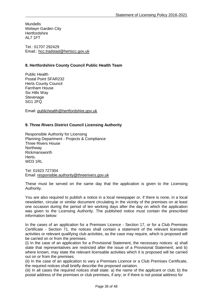**Mundells** Welwyn Garden City **Hertfordshire** AL7 1FT

Tel.: 01707 292429 Email.: [hcc.tradstad@hertscc.gov.uk](mailto:hcc.tradstad@hertscc.gov.uk)

## **8. Hertfordshire County Council Public Health Team**

Public Health Postal Point SFAR232 Herts County Council Farnham House Six Hills Way **Stevenage** SG1 2FQ

Email: [publichealth@hertfordshire.gov.uk](mailto:publichealth@hertfordshire.gov.uk)

## **9. Three Rivers District Council Licensing Authority**

Responsible Authority for Licensing Planning Department - Projects & Compliance Three Rivers House **Northway** Rickmansworth Herts. WD3 1RL

Tel: 01923 727304 Email: responsible.authority@threerivers.gov.uk

These must be served on the same day that the application is given to the Licensing Authority.

You are also required to publish a notice in a local newspaper or, if there is none, in a local newsletter, circular or similar document circulating in the vicinity of the premises on at least one occasion during the period of ten working days after the day on which the application was given to the Licensing Authority. The published notice must contain the prescribed information below:

In the cases of an application for a Premises Licence - Section 17, or for a Club Premises Certificate - Section 71, the notices shall contain a statement of the relevant licensable activities or relevant qualifying club activities, as the case may require, which is proposed will be carried on or from the premises.

(i) In the case of an application for a Provisional Statement, the necessary notices: a) shall state that representatives are restricted after the issue of a Provisional Statement; and b) where known, may state the relevant licensable activities which it is proposed will be carried out on or from the premises.

(ii) In the case of an application to vary a Premises Licence or a Club Premises Certificate, the required notices shall briefly describe the proposed variation.

(iii) In all cases the required notices shall state: a) the name of the applicant or club; b) the postal address of the premises or club premises, if any; or if there is not postal address for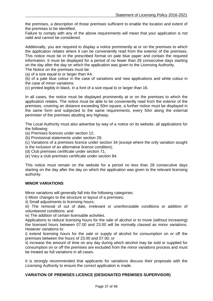the premises, a description of those premises sufficient to enable the location and extent of the premises to be identified;

Failure to comply with any of the above requirements will mean that your application is not valid and cannot be considered.

Additionally, you are required to display a notice prominently at or on the premises to which the application relates where it can be conveniently read from the exterior of the premises. This notice must be in the prescribed format on pale blue paper and contain the required information. It must be displayed for a period of no fewer than 28 consecutive days starting on the day after the day on which the application was given to the Licensing Authority. The Notice on the premises must be:

(a) of a size equal to or larger than A4;

(b) of a pale blue colour in the case of variations and new applications and white colour in the case of minor variations

(c) printed legibly in black, in a font of a size equal to or larger than 16.

In all cases, the notice must be displayed prominently at or on the premises to which the application relates. The notice must be able to be conveniently read from the exterior of the premises, covering an distance exceeding 50m square, a further notice must be displayed in the same form and subjected to the same requirements, every 50m along the external perimeter of the premises abutting any highway.

The Local Authority must also advertise by way of a notice on its website, all applications for the following:

(a) Premises licences under section 12;

(b) Provisional statements under section 29;

(c) Variations of a premises licence under section 34 (except where the only variation sought is the inclusion of an alternative licence condition);

(d) Club premises certificate under section 71;

(e) Vary a club premises certificate under section 84.

This notice must remain on the website for a period no less than 28 consecutive days starting on the day after the day on which the application was given to the relevant licensing authority.

#### **MINOR VARIATIONS**

Minor variations will generally fall into the following categories:

i) Minor changes to the structure or layout of a premises;

ii) Small adjustments to licensing hours;

iii) The removal of out of date, irrelevant or unenforceable conditions or addition of volunteered conditions; and

iv) The addition of certain licensable activities.

Applications to reduce licensing hours for the sale of alcohol or to move (without increasing) the licensed hours between 07.00 and 23.00 will be normally classed as minor variations. However variations to:

i) extend licensing hours for the sale or supply of alcohol for consumption on or off the premises between the hours of 23.00 and 07.00; or

ii) increase the amount of time on any day during which alcohol may be sold or supplied for consumption on or off the premises are excluded from the minor variations process and must be treated as full variations in all cases.

It is strongly recommended that applicants for variations discuss their proposals with the Licensing Authority to ensure the correct application is made.

#### **VARIATION OF PREMISES LICENCE (DESIGNATED PREMISES SUPERVISOR)**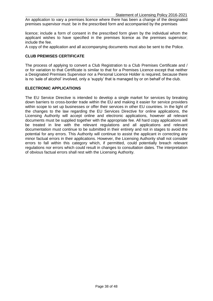An application to vary a premises licence where there has been a change of the designated premises supervisor must: be in the prescribed form and accompanied by the premises

licence; include a form of consent in the prescribed form given by the individual whom the applicant wishes to have specified in the premises licence as the premises supervisor; include the fee.

A copy of the application and all accompanying documents must also be sent to the Police.

#### **CLUB PREMISES CERTIFICATE**

The process of applying to convert a Club Registration to a Club Premises Certificate and / or for variation to that Certificate is similar to that for a Premises Licence except that neither a Designated Premises Supervisor nor a Personal Licence Holder is required, because there is no 'sale of alcohol' involved, only a 'supply' that is managed by or on behalf of the club.

#### **ELECTRONIC APPLICATIONS**

The EU Service Directive is intended to develop a single market for services by breaking down barriers to cross-border trade within the EU and making it easier for service providers within scope to set up businesses or offer their services in other EU countries. In the light of the changes to the law regarding the EU Services Directive for online applications, the Licensing Authority will accept online and electronic applications, however all relevant documents must be supplied together with the appropriate fee. All hard copy applications will be treated in line with the relevant regulations and all applications and relevant documentation must continue to be submitted in their entirety and not in stages to avoid the potential for any errors. This Authority will continue to assist the applicant in correcting any minor factual errors in their applications. However, the Licensing Authority shall not consider errors to fall within this category which, if permitted, could potentially breach relevant regulations nor errors which could result in changes to consultation dates. The interpretation of obvious factual errors shall rest with the Licensing Authority.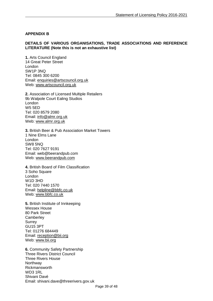## **APPENDIX B**

#### **DETAILS OF VARIOUS ORGANISATIONS, TRADE ASSOCIATIONS AND REFERENCE LITERATURE (Note this is not an exhaustive list)**

**1.** Arts Council England 14 Great Peter Street London SW1P 3NQ Tel: 0845 300 6200 Email: [enquiries@artscouncil.org.uk](mailto:enquiries@artscouncil.org.uk) Web: [www.artscouncil.org.uk](http://www.artscouncil.org.uk/)

**2.** Association of Licensed Multiple Retailers 9b Walpole Court Ealing Studios London W5 5ED Tel: 020 8579 2080 Email: [info@almr.org.uk](mailto:info@almr.org.uk) Web: [www.almr.org.uk](http://www.almr.org.uk/)

**3.** British Beer & Pub Association Market Towers 1 Nine Elms Lane London SW8 5NQ Tel: 020 7627 9191 Email: web@beerandpub.com Web: [www.beerandpub.com](http://www.beerandpub.com/)

**4.** British Board of Film Classification 3 Soho Square London W1D 3HD Tel: 020 7440 1570 Email: [helpline@bbfc.co.uk](mailto:helpline@bbfc.co.uk) Web: [www.bbfc.co.uk](http://www.bbfc.co.uk/)

**5.** British Institute of Innkeeping Wessex House 80 Park Street **Camberley Surrey** GU15 3PT Tel: 01276 684449 Email: [reception@bii.org](mailto:reception@bii.org) Web: [www.bii.org](http://www.bii.org/)

**6.** Community Safety Partnership Three Rivers District Council Three Rivers House Northway Rickmansworth WD3 1RL Shivani Davé Email: shivani.dave@threerivers.gov.uk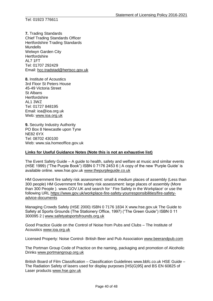**7.** Trading Standards Chief Trading Standards Officer Hertfordshire Trading Standards Mundells Welwyn Garden City **Hertfordshire** AL7 1FT Tel: 01707 292429 Email: [hcc.tradstad@hertscc.gov.uk](mailto:hcc.tradstad@hertscc.gov.uk)

**8.** Institute of Acoustics 3rd Floor St Peters House 45-49 Victoria Street St Albans **Hertfordshire** AL1 3WZ Tel: 01727 848195 Email: ioa@ioa.org.uk Web: [www.ioa.org.uk](http://www.ioa.org.uk/)

**9.** Security Industry Authority PO Box 8 Newcastle upon Tyne NE82 6YX Tel: 08702 430100 Web: www.sia.homeoffice.gov.uk

## **Links for Useful Guidance Notes (Note this is not an exhaustive list)**

The Event Safety Guide – A guide to health, safety and welfare at music and similar events (HSE 1999) ("The Purple Book") ISBN 0 7176 2453 6 | A copy of the new 'Purple Guide' is available online. www.hse.gov.uk [www.thepurpleguide.co.uk](http://www.thepurpleguide.co.uk/)

HM Government fire safety risk assessment: small & medium places of assembly (Less than 300 people) HM Government fire safety risk assessment: large places of assembly (More than 300 People ). www.GOV.UK and search for ' Fire Safety in the Workplace' or use the following URL [https://www.gov.uk/workplace-fire-safety-yourresponsibilities/fire-safety](https://www.gov.uk/workplace-fire-safety-yourresponsibilities/fire-safety-advice-documents)[advice-documents](https://www.gov.uk/workplace-fire-safety-yourresponsibilities/fire-safety-advice-documents)

Managing Crowds Safely (HSE 2000) ISBN 0 7176 1834 X www.hse.gov.uk The Guide to Safety at Sports Grounds (The Stationery Office, 1997) ("The Green Guide") ISBN 0 11 300095 2 | [www.safetyatsportsfrounds.org.uk](http://www.safetyatsportsfrounds.org.uk/)

Good Practice Guide on the Control of Noise from Pubs and Clubs – The Institute of Acoustics [www.ioa.org.uk](http://www.ioa.org.uk/)

Licensed Property: Noise Control- British Beer and Pub Association [www.beerandpub.com](http://www.beerandpub.com/)

The Portman Group Code of Practice on the naming, packaging and promotion of Alcoholic Drinks [www.portmangroup.org.uk](http://www.portmangroup.org.uk/)

British Board of Film Classification – Classification Guidelines www.bbfc.co.uk HSE Guide – The Radiation Safety of lasers used for display purposes [HS(G)95] and BS EN 60825 of Laser products [www.hse.gov.uk](http://www.hse.gov.uk/)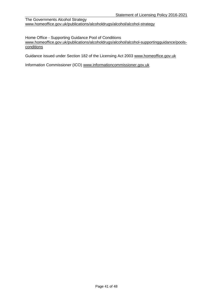The Governments Alcohol Strategy [www.homeoffice.gov.uk/publications/alcoholdrugs/alcohol/alcohol-strategy](http://www.homeoffice.gov.uk/publications/alcoholdrugs/alcohol/alcohol-strategy)

Home Office - Supporting Guidance Pool of Conditions [www.homeoffice.gov.uk/publications/alcoholdrugs/alcohol/alcohol-supportingguidance/pools](http://www.homeoffice.gov.uk/publications/alcoholdrugs/alcohol/alcohol-supportingguidance/pools-conditions)**[conditions](http://www.homeoffice.gov.uk/publications/alcoholdrugs/alcohol/alcohol-supportingguidance/pools-conditions)** 

Guidance issued under Section 182 of the Licensing Act 2003 [www.homeoffice.gov.uk](http://www.homeoffice.gov.uk/)

Information Commissioner (ICO) [www.informationcommissioner.gov.uk](http://www.informationcommissioner.gov.uk/)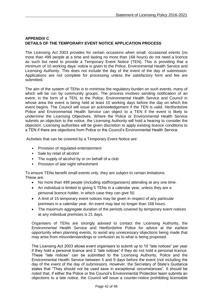## **APPENDIX C DETAILS OF THE TEMPORARY EVENT NOTICE APPLICATION PROCESS**

The Licensing Act 2003 provides for certain occasions when small, occasional events (no more than 499 people at a time and lasting no more than 168 hours) do not need a licence as such but need to provide a Temporary Event Notice (TEN). This is providing that a minimum of 10 working days' notice is given to the Police, Environmental Health Service and Licensing Authority. This does not include the day of the event of the day of submission. Applications are not complete for processing unless the satisfactory form and fee are submitted.

The aim of the system of TENs is to minimise the regulatory burden on such events, many of which will be run by community groups. The process involves sending notification of an event, in the form of a TEN, to the Police, Environmental Health Service and Council in whose area the event is being held at least 10 working days before the day on which the event begins. The Council will issue an acknowledgement if the TEN is valid. Hertfordshire Police and Environmental Health Service can object to a TEN if the event is likely to undermine the Licensing Objectives. Where the Police or Environmental Health Service submits an objection to the notice, the Licensing Authority will hold a hearing to consider the objection. Licensing authorities will be given discretion to apply existing licence conditions to a TEN if there are objections from Police or the Council's Environmental Health Service.

Activities that can be covered by a Temporary Event Notice are:

- Provision of regulated entertainment
- Sale by retail of alcohol
- The supply of alcohol by or on behalf of a club
- Provision of late night refreshment

To ensure TENs benefit small events only, they are subject to certain limitations. These are:

- No more than 499 people (including staff/organisers) attending at any one time.
- An individual is limited to giving 5 TENs in a calendar year, unless they are a personal licence holder, in which case they can give 50.
- A limit of 15 temporary event notices may be given in respect of any particular premises in a calendar year. An event may last no longer than 168 hours.
- The maximum aggregate duration of the periods covered by temporary event notices at any individual premises is 21 days.

Organisers of TENs are strongly advised to contact the Licensing Authority, the Environmental Health Service and Hertfordshire Police for advice at the earliest opportunity when planning events, to avoid any unnecessary objections being made that may arise from misunderstandings or confusion as to what is being proposed.

The Licensing Act 2003 allows event organisers to submit up to 10 "late notices" per year if they hold a personal licence and 2 "late notices" if they do not hold a personal licence. These "late notices" can be submitted to the Licensing Authority, Police and the Environmental Health Service between 5 and 9 days before the event (not including the day of the event of the day of submission). However, the Secretary of State's Guidance states that "They should not be used save in exceptional circumstances". It should be noted that, if either the Police or the Council's Environmental Protection team submits an objections to a late notice, the Council will issue a counter-notice prohibiting licensable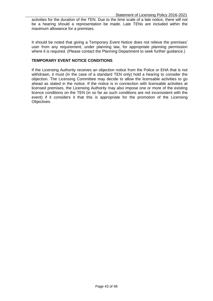activities for the duration of the TEN. Due to the time scale of a late notice, there will not be a hearing should a representation be made. Late TENs are included within the maximum allowance for a premises.

It should be noted that giving a Temporary Event Notice does not relieve the premises' user from any requirement, under planning law, for appropriate planning permission where it is required. (Please contact the Planning Department to seek further guidance.)

### **TEMPORARY EVENT NOTICE CONDITIONS**

If the Licensing Authority receives an objection notice from the Police or EHA that is not withdrawn, it must (in the case of a standard TEN only) hold a hearing to consider the objection. The Licensing Committee may decide to allow the licensable activities to go ahead as stated in the notice. If the notice is in connection with licensable activities at licensed premises, the Licensing Authority may also impose one or more of the existing licence conditions on the TEN (in so far as such conditions are not inconsistent with the event) if it considers it that this is appropriate for the promotion of the Licensing Objectives.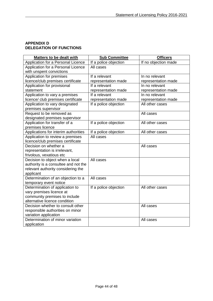## **APPENDIX D DELEGATION OF FUNCTIONS**

| <b>Matters to be dealt with</b>      | <b>Sub Committee</b>  | <b>Officers</b>      |
|--------------------------------------|-----------------------|----------------------|
| Application for a Personal Licence   | If a police objection | If no objection made |
| Application for a Personal Licence   | All cases             |                      |
| with unspent convictions             |                       |                      |
| Application for premises             | If a relevant         | In no relevant       |
| licence/club premises certificate    | representation made   | representation made  |
| Application for provisional          | If a relevant         | In no relevant       |
| statement                            | representation made   | representation made  |
| Application to vary a premises       | If a relevant         | In no relevant       |
| licence/ club premises certificate   | representation made   | representation made  |
| Application to vary designated       | If a police objection | All other cases      |
| premises supervisor                  |                       |                      |
| Request to be removed as             |                       | All cases            |
| designated premises supervisor       |                       |                      |
| Application for transfer of a        | If a police objection | All other cases      |
| premises licence                     |                       |                      |
| Applications for interim authorities | If a police objection | All other cases      |
| Application to review a premises     | All cases             |                      |
| licence/club premises certificate    |                       |                      |
| Decision on whether a                |                       | All cases            |
| representation is irrelevant,        |                       |                      |
| frivolous, vexatious etc             |                       |                      |
| Decision to object when a local      | All cases             |                      |
| authority is a consultee and not the |                       |                      |
| relevant authority considering the   |                       |                      |
| applicant                            |                       |                      |
| Determination of an objection to a   | All cases             |                      |
| temporary event notice               |                       |                      |
| Determination of application to      | If a police objection | All other cases      |
| vary premises licence at             |                       |                      |
| community premises to include        |                       |                      |
| alternative licence condition        |                       |                      |
| Decision whether to consult other    |                       | All cases            |
| responsible authorities on minor     |                       |                      |
| variation application                |                       |                      |
| Determination of minor variation     |                       | All cases            |
| application                          |                       |                      |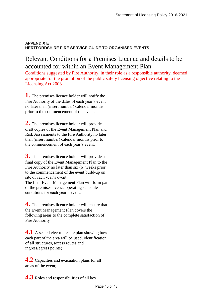## **APPENDIX E HERTFORDSHIRE FIRE SERVICE GUIDE TO ORGANISED EVENTS**

## Relevant Conditions for a Premises Licence and details to be accounted for within an Event Management Plan

Conditions suggested by Fire Authority, in their role as a responsible authority, deemed appropriate for the promotion of the public safety licensing objective relating to the Licensing Act 2003

**1.** The premises licence holder will notify the Fire Authority of the dates of each year's event no later than (insert number) calendar months prior to the commencement of the event.

**2.** The premises licence holder will provide draft copies of the Event Management Plan and Risk Assessments to the Fire Authority no later than (insert number) calendar months prior to the commencement of each year's event.

**3.** The premises licence holder will provide a final copy of the Event Management Plan to the Fire Authority no later than six (6) weeks prior to the commencement of the event build-up on site of each year's event.

The final Event Management Plan will form part of the premises licence operating schedule conditions for each year's event.

**4.** The premises licence holder will ensure that the Event Management Plan covers the following areas to the complete satisfaction of Fire Authority

**4.1** A scaled electronic site plan showing how each part of the area will be used, identification of all structures, access routes and ingress/egress points;

**4.2** Capacities and evacuation plans for all areas of the event;

**4.3** Roles and responsibilities of all key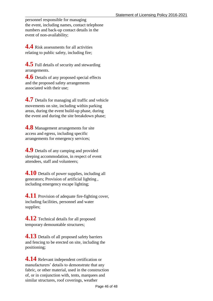personnel responsible for managing the event, including names, contact telephone numbers and back-up contact details in the event of non-availability;

**4.4** Risk assessments for all activities relating to public safety, including fire;

**4.5** Full details of security and stewarding arrangements.

**4.6** Details of any proposed special effects and the proposed safety arrangements associated with their use;

**4.7** Details for managing all traffic and vehicle movements on site, including within parking areas, during the event build-up phase, during the event and during the site breakdown phase;

**4.8** Management arrangements for site access and egress, including specific arrangements for emergency services;

**4.9** Details of any camping and provided sleeping accommodation, in respect of event attendees, staff and volunteers;

**4.10** Details of power supplies, including all generators; Provision of artificial lighting , including emergency escape lighting;

**4.11** Provision of adequate fire-fighting cover, including facilities, personnel and water supplies;

**4.12** Technical details for all proposed temporary demountable structures;

**4.13** Details of all proposed safety barriers and fencing to be erected on site, including the positioning;

**4.14** Relevant independent certification or manufacturers' details to demonstrate that any fabric, or other material, used in the construction of, or in conjunction with, tents, marquees and similar structures, roof coverings, weather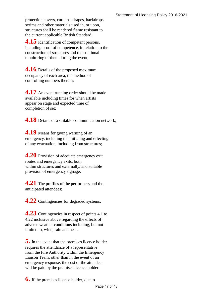protection covers, curtains, drapes, backdrops, scrims and other materials used in, or upon, structures shall be rendered flame resistant to the current applicable British Standard;

**4.15** Identification of competent persons, including proof of competence, in relation to the construction of structures and the continual monitoring of them during the event;

**4.16** Details of the proposed maximum occupancy of each area, the method of controlling numbers therein;

**4.17** An event running order should be made available including times for when artists appear on stage and expected time of completion of set;

**4.18** Details of a suitable communication network;

**4.19** Means for giving warning of an emergency, including the initiating and effecting of any evacuation, including from structures;

**4.20** Provision of adequate emergency exit routes and emergency exits, both within structures and externally, and suitable provision of emergency signage;

**4.21** The profiles of the performers and the anticipated attendees;

**4.22** Contingencies for degraded systems.

**4.23** Contingencies in respect of points 4.1 to 4.22 inclusive above regarding the effects of adverse weather conditions including, but not limited to, wind, rain and heat.

**5.** In the event that the premises licence holder requires the attendance of a representative from the Fire Authority within the Emergency Liaison Team, other than in the event of an emergency response, the cost of the attendee will be paid by the premises licence holder.